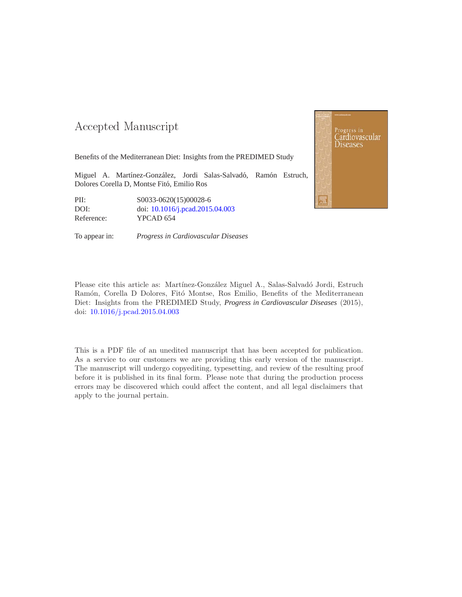#### -- -

Benefits of the Mediterranean Diet: Insights from the PREDIMED Study

Miguel A. Martínez-González, Jordi Salas-Salvadó, Ramón Estruch, Dolores Corella D, Montse Fitó, Emilio Ros

PII: S0033-0620(15)00028-6 DOI: doi: [10.1016/j.pcad.2015.04.003](http://dx.doi.org/10.1016/j.pcad.2015.04.003) Reference: YPCAD 654

To appear in: *Progress in Cardiovascular Diseases*



Please cite this article as: Martínez-González Miguel A., Salas-Salvadó Jordi, Estruch Ramón, Corella D Dolores, Fitó Montse, Ros Emilio, Benefits of the Mediterranean Diet: Insights from the PREDIMED Study, *Progress in Cardiovascular Diseases* (2015), doi: [10.1016/j.pcad.2015.04.003](http://dx.doi.org/10.1016/j.pcad.2015.04.003)

This is a PDF file of an unedited manuscript that has been accepted for publication. As a service to our customers we are providing this early version of the manuscript. The manuscript will undergo copyediting, typesetting, and review of the resulting proof before it is published in its final form. Please note that during the production process errors may be discovered which could affect the content, and all legal disclaimers that apply to the journal pertain.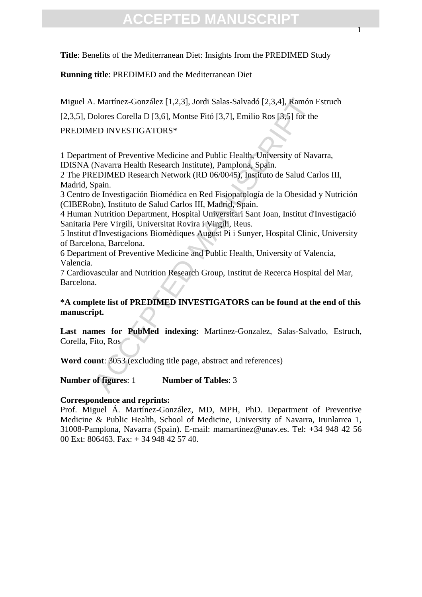**Title**: Benefits of the Mediterranean Diet: Insights from the PREDIMED Study

**Running title**: PREDIMED and the Mediterranean Diet

Miguel A. Martínez-González [1,2,3], Jordi Salas-Salvadó [2,3,4], Ramón Estruch

[2,3,5], Dolores Corella D [3,6], Montse Fitó [3,7], Emilio Ros [3,5] for the

#### PREDIMED INVESTIGATORS\*

1 Department of Preventive Medicine and Public Health, University of Navarra, IDISNA (Navarra Health Research Institute), Pamplona, Spain.

2 The PREDIMED Research Network (RD 06/0045), Instituto de Salud Carlos III, Madrid, Spain.

3 Centro de Investigación Biomédica en Red Fisiopatología de la Obesidad y Nutrición (CIBERobn), Instituto de Salud Carlos III, Madrid, Spain.

4 Human Nutrition Department, Hospital Universitari Sant Joan, Institut d'Investigació Sanitaria Pere Virgili, Universitat Rovira i Virgili, Reus.

5 Institut d'Investigacions Biomèdiques August Pi i Sunyer, Hospital Clinic, University of Barcelona, Barcelona.

6 Department of Preventive Medicine and Public Health, University of Valencia, Valencia.

7 Cardiovascular and Nutrition Research Group, Institut de Recerca Hospital del Mar, Barcelona.

# . Martínez-González [1,2,3], Jordi Salas-Salvadó [2,3,4], Ramón lolores Corella D [3,6], Montse Fitó [3,7], Emilio Ros [3,5] for the<br>ED INVESTIGATORS\*<br>ED INVESTIGATORS\*<br>ment of Preventive Medicine and Public Health, Univer **\*A complete list of PREDIMED INVESTIGATORS can be found at the end of this manuscript.**

**Last names for PubMed indexing**: Martinez-Gonzalez, Salas-Salvado, Estruch, Corella, Fito, Ros

**Word count**: 3053 (excluding title page, abstract and references)

#### **Number of figures**: 1 **Number of Tables**: 3

#### **Correspondence and reprints:**

Prof. Miguel Á. Martínez-González, MD, MPH, PhD. Department of Preventive Medicine & Public Health, School of Medicine, University of Navarra, Irunlarrea 1, 31008-Pamplona, Navarra (Spain). E-mail: mamartinez@unav.es. Tel: +34 948 42 56 00 Ext: 806463. Fax: + 34 948 42 57 40.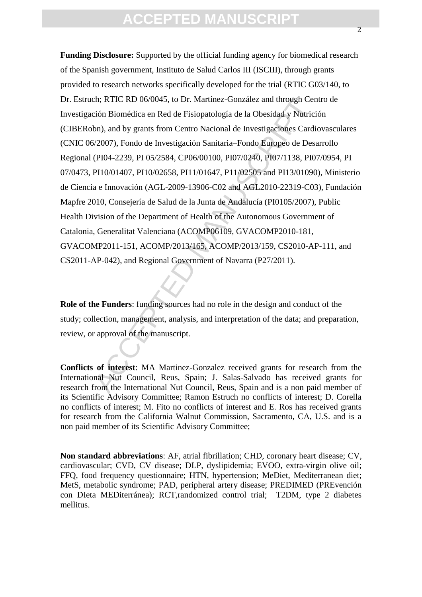Encylide The Meridian Control and through Certion, the Internal Certion Biomédica en Red de Fisiopatología de la Obesidad y Nutrici<br>
bn), and by grants from Centro Nacional de Investigaciones Cardi<br>
6/2007), Fondo de Inves **Funding Disclosure:** Supported by the official funding agency for biomedical research of the Spanish government, Instituto de Salud Carlos III (ISCIII), through grants provided to research networks specifically developed for the trial (RTIC G03/140, to Dr. Estruch; RTIC RD 06/0045, to Dr. Martínez-González and through Centro de Investigación Biomédica en Red de Fisiopatología de la Obesidad y Nutrición (CIBERobn), and by grants from Centro Nacional de Investigaciones Cardiovasculares (CNIC 06/2007), Fondo de Investigación Sanitaria–Fondo Europeo de Desarrollo Regional (PI04-2239, PI 05/2584, CP06/00100, PI07/0240, PI07/1138, PI07/0954, PI 07/0473, PI10/01407, PI10/02658, PI11/01647, P11/02505 and PI13/01090), Ministerio de Ciencia e Innovación (AGL-2009-13906-C02 and AGL2010-22319-C03), Fundación Mapfre 2010, Consejería de Salud de la Junta de Andalucía (PI0105/2007), Public Health Division of the Department of Health of the Autonomous Government of Catalonia, Generalitat Valenciana (ACOMP06109, GVACOMP2010-181, GVACOMP2011-151, ACOMP/2013/165, ACOMP/2013/159, CS2010-AP-111, and CS2011-AP-042), and Regional Government of Navarra (P27/2011).

**Role of the Funders**: funding sources had no role in the design and conduct of the study; collection, management, analysis, and interpretation of the data; and preparation, review, or approval of the manuscript.

**Conflicts of interest**: MA Martinez-Gonzalez received grants for research from the International Nut Council, Reus, Spain; J. Salas-Salvado has received grants for research from the International Nut Council, Reus, Spain and is a non paid member of its Scientific Advisory Committee; Ramon Estruch no conflicts of interest; D. Corella no conflicts of interest; M. Fito no conflicts of interest and E. Ros has received grants for research from the California Walnut Commission, Sacramento, CA, U.S. and is a non paid member of its Scientific Advisory Committee;

**Non standard abbreviations**: AF, atrial fibrillation; CHD, coronary heart disease; CV, cardiovascular; CVD, CV disease; DLP, dyslipidemia; EVOO, extra-virgin olive oil; FFQ, food frequency questionnaire; HTN, hypertension; MeDiet, Mediterranean diet; MetS, metabolic syndrome; PAD, peripheral artery disease; PREDIMED (PREvención con DIeta MEDiterránea); RCT,randomized control trial; T2DM, type 2 diabetes mellitus.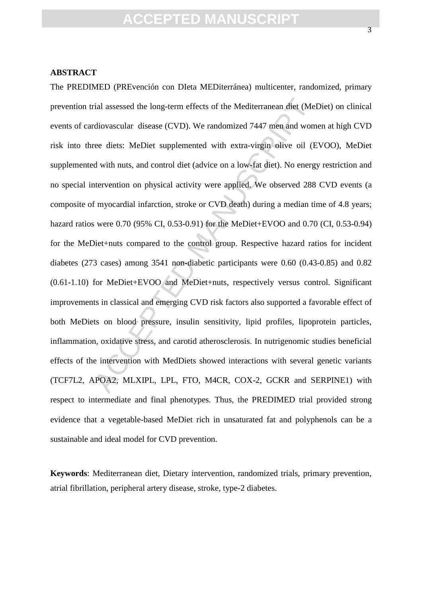#### **ABSTRACT**

rial assessed the long-term effects of the Mediterranean diet (Meltiorascular disease (CVD). We randomized 7447 men and wom<br>ree diets: MeDiet supplemented with extra-virgin olive oil (E<br>d with nuts, and control diet (advic The PREDIMED (PREvención con DIeta MEDiterránea) multicenter, randomized, primary prevention trial assessed the long-term effects of the Mediterranean diet (MeDiet) on clinical events of cardiovascular disease (CVD). We randomized 7447 men and women at high CVD risk into three diets: MeDiet supplemented with extra-virgin olive oil (EVOO), MeDiet supplemented with nuts, and control diet (advice on a low-fat diet). No energy restriction and no special intervention on physical activity were applied. We observed 288 CVD events (a composite of myocardial infarction, stroke or CVD death) during a median time of 4.8 years; hazard ratios were 0.70 (95% CI, 0.53-0.91) for the MeDiet+EVOO and 0.70 (CI, 0.53-0.94) for the MeDiet+nuts compared to the control group. Respective hazard ratios for incident diabetes (273 cases) among 3541 non-diabetic participants were 0.60 (0.43-0.85) and 0.82 (0.61-1.10) for MeDiet+EVOO and MeDiet+nuts, respectively versus control. Significant improvements in classical and emerging CVD risk factors also supported a favorable effect of both MeDiets on blood pressure, insulin sensitivity, lipid profiles, lipoprotein particles, inflammation, oxidative stress, and carotid atherosclerosis. In nutrigenomic studies beneficial effects of the intervention with MedDiets showed interactions with several genetic variants (TCF7L2, APOA2, MLXIPL, LPL, FTO, M4CR, COX-2, GCKR and SERPINE1) with respect to intermediate and final phenotypes. Thus, the PREDIMED trial provided strong evidence that a vegetable-based MeDiet rich in unsaturated fat and polyphenols can be a sustainable and ideal model for CVD prevention.

**Keywords**: Mediterranean diet, Dietary intervention, randomized trials, primary prevention, atrial fibrillation, peripheral artery disease, stroke, type-2 diabetes.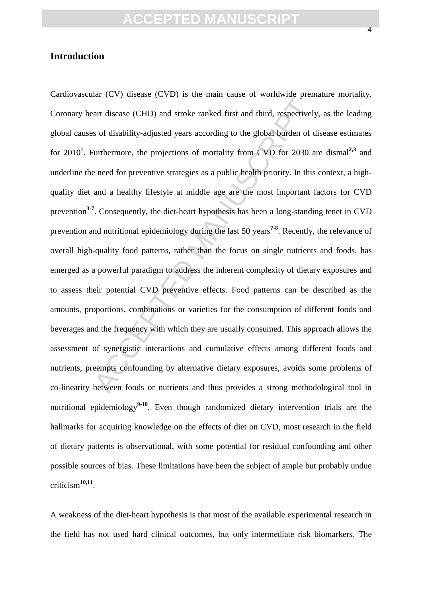#### **Introduction**

ant disease (CHD) and stroke ranked first and third, respectively<br>s of disability-adjusted years according to the global burden of d<br>
urthermore, the projections of mortality from CVD for 2030 a<br>
e need for preventive stra Cardiovascular (CV) disease (CVD) is the main cause of worldwide premature mortality. Coronary heart disease (CHD) and stroke ranked first and third, respectively, as the leading global causes of disability-adjusted years according to the global burden of disease estimates for 2010**<sup>1</sup>** . Furthermore, the projections of mortality from CVD for 2030 are dismal**2,3** and underline the need for preventive strategies as a public health priority. In this context, a highquality diet and a healthy lifestyle at middle age are the most important factors for CVD prevention**3-7**. Consequently, the diet-heart hypothesis has been a long-standing tenet in CVD prevention and nutritional epidemiology during the last 50 years**7-8**. Recently, the relevance of overall high-quality food patterns, rather than the focus on single nutrients and foods, has emerged as a powerful paradigm to address the inherent complexity of dietary exposures and to assess their potential CVD preventive effects. Food patterns can be described as the amounts, proportions, combinations or varieties for the consumption of different foods and beverages and the frequency with which they are usually consumed. This approach allows the assessment of synergistic interactions and cumulative effects among different foods and nutrients, preempts confounding by alternative dietary exposures, avoids some problems of co-linearity between foods or nutrients and thus provides a strong methodological tool in nutritional epidemiology<sup>9-10</sup>. Even though randomized dietary intervention trials are the hallmarks for acquiring knowledge on the effects of diet on CVD, most research in the field of dietary patterns is observational, with some potential for residual confounding and other possible sources of bias. These limitations have been the subject of ample but probably undue criticism**10,11** .

A weakness of the diet-heart hypothesis is that most of the available experimental research in the field has not used hard clinical outcomes, but only intermediate risk biomarkers. The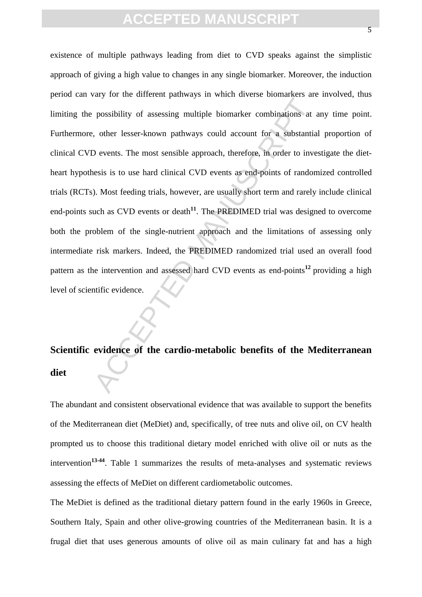posibility of assessing multiple biomarker combinations at<br>
, other lesser-known pathways could account for a substantia<br>
.) events. The most sensible approach, therefore, in order to inve<br>
essis is to use hard clinical CV existence of multiple pathways leading from diet to CVD speaks against the simplistic approach of giving a high value to changes in any single biomarker. Moreover, the induction period can vary for the different pathways in which diverse biomarkers are involved, thus limiting the possibility of assessing multiple biomarker combinations at any time point. Furthermore, other lesser-known pathways could account for a substantial proportion of clinical CVD events. The most sensible approach, therefore, in order to investigate the dietheart hypothesis is to use hard clinical CVD events as end-points of randomized controlled trials (RCTs). Most feeding trials, however, are usually short term and rarely include clinical end-points such as CVD events or death<sup>11</sup>. The PREDIMED trial was designed to overcome both the problem of the single-nutrient approach and the limitations of assessing only intermediate risk markers. Indeed, the PREDIMED randomized trial used an overall food pattern as the intervention and assessed hard CVD events as end-points**<sup>12</sup>** providing a high level of scientific evidence.

# **Scientific evidence of the cardio-metabolic benefits of the Mediterranean diet**

The abundant and consistent observational evidence that was available to support the benefits of the Mediterranean diet (MeDiet) and, specifically, of tree nuts and olive oil, on CV health prompted us to choose this traditional dietary model enriched with olive oil or nuts as the intervention**13-44**. Table 1 summarizes the results of meta-analyses and systematic reviews assessing the effects of MeDiet on different cardiometabolic outcomes.

The MeDiet is defined as the traditional dietary pattern found in the early 1960s in Greece, Southern Italy, Spain and other olive-growing countries of the Mediterranean basin. It is a frugal diet that uses generous amounts of olive oil as main culinary fat and has a high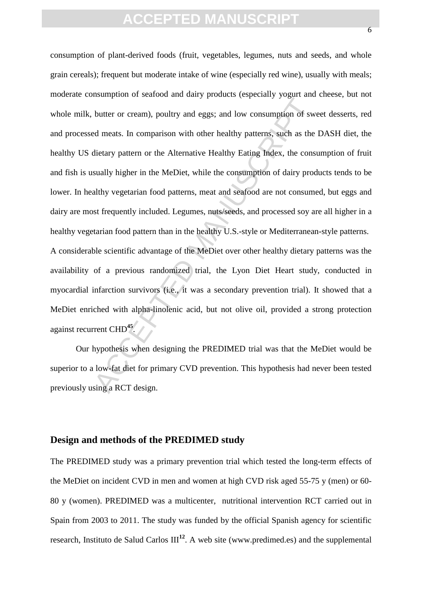For the original englishment of sweeting and the Predictor of sweet meats. In comparison with other healthy patterns, such as the dietary pattern or the Alternative Healthy Eating Index, the consequently higher in the MeDi consumption of plant-derived foods (fruit, vegetables, legumes, nuts and seeds, and whole grain cereals); frequent but moderate intake of wine (especially red wine), usually with meals; moderate consumption of seafood and dairy products (especially yogurt and cheese, but not whole milk, butter or cream), poultry and eggs; and low consumption of sweet desserts, red and processed meats. In comparison with other healthy patterns, such as the DASH diet, the healthy US dietary pattern or the Alternative Healthy Eating Index, the consumption of fruit and fish is usually higher in the MeDiet, while the consumption of dairy products tends to be lower. In healthy vegetarian food patterns, meat and seafood are not consumed, but eggs and dairy are most frequently included. Legumes, nuts/seeds, and processed soy are all higher in a healthy vegetarian food pattern than in the healthy U.S.-style or Mediterranean-style patterns. A considerable scientific advantage of the MeDiet over other healthy dietary patterns was the availability of a previous randomized trial, the Lyon Diet Heart study, conducted in myocardial infarction survivors (i.e., it was a secondary prevention trial). It showed that a MeDiet enriched with alpha-linolenic acid, but not olive oil, provided a strong protection against recurrent CHD**<sup>45</sup>** .

 Our hypothesis when designing the PREDIMED trial was that the MeDiet would be superior to a low-fat diet for primary CVD prevention. This hypothesis had never been tested previously using a RCT design.

#### **Design and methods of the PREDIMED study**

The PREDIMED study was a primary prevention trial which tested the long-term effects of the MeDiet on incident CVD in men and women at high CVD risk aged 55-75 y (men) or 60- 80 y (women). PREDIMED was a multicenter, nutritional intervention RCT carried out in Spain from 2003 to 2011. The study was funded by the official Spanish agency for scientific research, Instituto de Salud Carlos III**<sup>12</sup>**. A web site (www.predimed.es) and the supplemental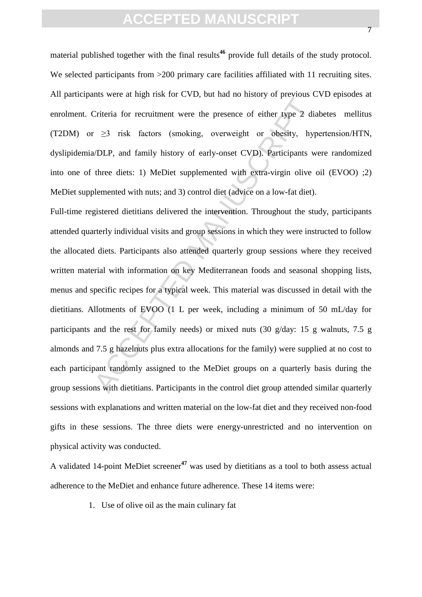material published together with the final results<sup>46</sup> provide full details of the study protocol. We selected participants from  $>200$  primary care facilities affiliated with 11 recruiting sites. All participants were at high risk for CVD, but had no history of previous CVD episodes at enrolment. Criteria for recruitment were the presence of either type 2 diabetes mellitus (T2DM) or ≥3 risk factors (smoking, overweight or obesity, hypertension/HTN, dyslipidemia/DLP, and family history of early-onset CVD). Participants were randomized into one of three diets: 1) MeDiet supplemented with extra-virgin olive oil (EVOO) ;2) MeDiet supplemented with nuts; and 3) control diet (advice on a low-fat diet).

Criteria for recruitment were the presence of either type 2 directions in the presence of either type 2 directions (smoking, overweight or obesity, hypth DLP, and family history of early-onset CVD). Participants we three Full-time registered dietitians delivered the intervention. Throughout the study, participants attended quarterly individual visits and group sessions in which they were instructed to follow the allocated diets. Participants also attended quarterly group sessions where they received written material with information on key Mediterranean foods and seasonal shopping lists, menus and specific recipes for a typical week. This material was discussed in detail with the dietitians. Allotments of EVOO (1 L per week, including a minimum of 50 mL/day for participants and the rest for family needs) or mixed nuts (30 g/day: 15 g walnuts, 7.5 g almonds and 7.5 g hazelnuts plus extra allocations for the family) were supplied at no cost to each participant randomly assigned to the MeDiet groups on a quarterly basis during the group sessions with dietitians. Participants in the control diet group attended similar quarterly sessions with explanations and written material on the low-fat diet and they received non-food gifts in these sessions. The three diets were energy-unrestricted and no intervention on physical activity was conducted.

A validated 14-point MeDiet screener**<sup>47</sup>** was used by dietitians as a tool to both assess actual adherence to the MeDiet and enhance future adherence. These 14 items were:

1. Use of olive oil as the main culinary fat

7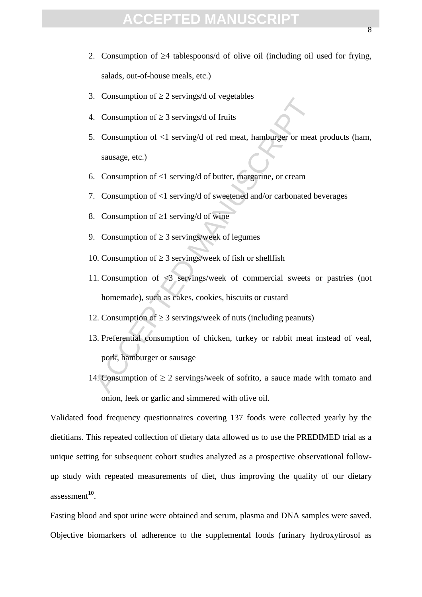- 2. Consumption of  $\geq 4$  tablespoons/d of olive oil (including oil used for frying, salads, out-of-house meals, etc.)
- 3. Consumption of  $\geq 2$  servings/d of vegetables
- 4. Consumption of  $\geq$  3 servings/d of fruits
- 5. Consumption of <1 serving/d of red meat, hamburger or meat products (ham, sausage, etc.)
- 6. Consumption of <1 serving/d of butter, margarine, or cream
- 7. Consumption of <1 serving/d of sweetened and/or carbonated beverages
- 8. Consumption of  $\geq 1$  serving/d of wine
- 9. Consumption of  $\geq$  3 servings/week of legumes
- 10. Consumption of  $\geq$  3 servings/week of fish or shellfish
- 11. Consumption of <3 servings/week of commercial sweets or pastries (not homemade), such as cakes, cookies, biscuits or custard
- 12. Consumption of  $\geq 3$  servings/week of nuts (including peanuts)
- Accommunion of  $≥$  2 servings of regenents.<br>
Accommunion of  $≥$  3 servings of reductions<br>
Accommunion of  $≤$  1 serving of of reduction that sausage, etc.)<br>
Accommunion of  $≤$ 1 serving of of butter, margarine, or cream<br>
A 13. Preferential consumption of chicken, turkey or rabbit meat instead of veal, pork, hamburger or sausage
- 14. Consumption of  $\geq 2$  servings/week of sofrito, a sauce made with tomato and onion, leek or garlic and simmered with olive oil.

Validated food frequency questionnaires covering 137 foods were collected yearly by the dietitians. This repeated collection of dietary data allowed us to use the PREDIMED trial as a unique setting for subsequent cohort studies analyzed as a prospective observational followup study with repeated measurements of diet, thus improving the quality of our dietary assessment**<sup>10</sup>** .

Fasting blood and spot urine were obtained and serum, plasma and DNA samples were saved. Objective biomarkers of adherence to the supplemental foods (urinary hydroxytirosol as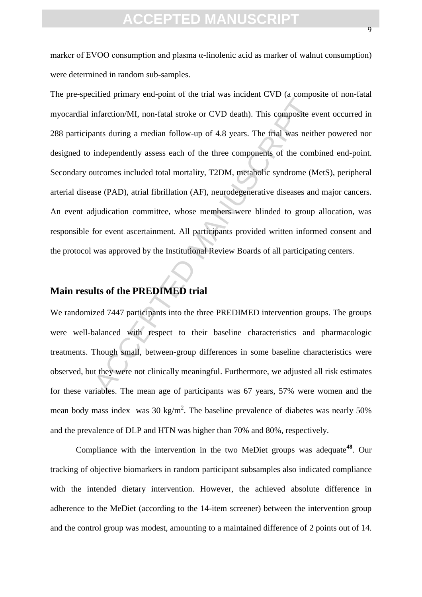marker of EVOO consumption and plasma α-linolenic acid as marker of walnut consumption) were determined in random sub-samples.

Infarction/MI, non-fatal stroke or CVD death). This composite evants during a median follow-up of 4.8 years. The trial was neit<br>independently assess each of the three components of the comt<br>utcomes included total mortality The pre-specified primary end-point of the trial was incident CVD (a composite of non-fatal myocardial infarction/MI, non-fatal stroke or CVD death). This composite event occurred in 288 participants during a median follow-up of 4.8 years. The trial was neither powered nor designed to independently assess each of the three components of the combined end-point. Secondary outcomes included total mortality, T2DM, metabolic syndrome (MetS), peripheral arterial disease (PAD), atrial fibrillation (AF), neurodegenerative diseases and major cancers. An event adjudication committee, whose members were blinded to group allocation, was responsible for event ascertainment. All participants provided written informed consent and the protocol was approved by the Institutional Review Boards of all participating centers.

#### **Main results of the PREDIMED trial**

We randomized 7447 participants into the three PREDIMED intervention groups. The groups were well-balanced with respect to their baseline characteristics and pharmacologic treatments. Though small, between-group differences in some baseline characteristics were observed, but they were not clinically meaningful. Furthermore, we adjusted all risk estimates for these variables. The mean age of participants was 67 years, 57% were women and the mean body mass index was 30 kg/m<sup>2</sup>. The baseline prevalence of diabetes was nearly 50% and the prevalence of DLP and HTN was higher than 70% and 80%, respectively.

Compliance with the intervention in the two MeDiet groups was adequate**<sup>48</sup>**. Our tracking of objective biomarkers in random participant subsamples also indicated compliance with the intended dietary intervention. However, the achieved absolute difference in adherence to the MeDiet (according to the 14-item screener) between the intervention group and the control group was modest, amounting to a maintained difference of 2 points out of 14.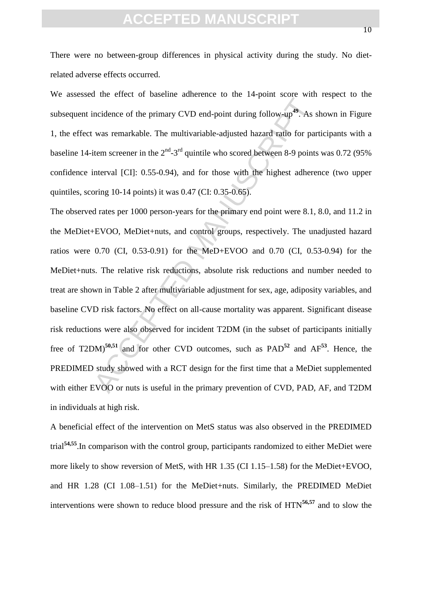There were no between-group differences in physical activity during the study. No dietrelated adverse effects occurred.

We assessed the effect of baseline adherence to the 14-point score with respect to the subsequent incidence of the primary CVD end-point during follow-up**<sup>49</sup>**. As shown in Figure 1, the effect was remarkable. The multivariable-adjusted hazard ratio for participants with a baseline 14-item screener in the  $2<sup>nd</sup>$ -3<sup>rd</sup> quintile who scored between 8-9 points was 0.72 (95%) confidence interval [CI]: 0.55-0.94), and for those with the highest adherence (two upper quintiles, scoring  $10-14$  points) it was  $0.47$  (CI:  $0.35-0.65$ ).

ncidence of the primary CVD end-point during follow-up<sup>49</sup>. As was remarkable. The multivariable-adjusted hazard ratio for pair<br>tiem screener in the  $2^{nd}$ -3<sup>rd</sup> quintile who scored between 8-9 points<br>interval [CI]: 0.55-The observed rates per 1000 person-years for the primary end point were 8.1, 8.0, and 11.2 in the MeDiet+EVOO, MeDiet+nuts, and control groups, respectively. The unadjusted hazard ratios were 0.70 (CI, 0.53-0.91) for the MeD+EVOO and 0.70 (CI, 0.53-0.94) for the MeDiet+nuts. The relative risk reductions, absolute risk reductions and number needed to treat are shown in Table 2 after multivariable adjustment for sex, age, adiposity variables, and baseline CVD risk factors. No effect on all-cause mortality was apparent. Significant disease risk reductions were also observed for incident T2DM (in the subset of participants initially free of T2DM)**50,51** and for other CVD outcomes, such as PAD**<sup>52</sup>** and AF**<sup>53</sup>**. Hence, the PREDIMED study showed with a RCT design for the first time that a MeDiet supplemented with either EVOO or nuts is useful in the primary prevention of CVD, PAD, AF, and T2DM in individuals at high risk.

A beneficial effect of the intervention on MetS status was also observed in the PREDIMED trial**54,55**.In comparison with the control group, participants randomized to either MeDiet were more likely to show reversion of MetS, with HR 1.35 (CI 1.15–1.58) for the MeDiet+EVOO, and HR 1.28 (CI 1.08–1.51) for the MeDiet+nuts. Similarly, the PREDIMED MeDiet interventions were shown to reduce blood pressure and the risk of HTN**56,57** and to slow the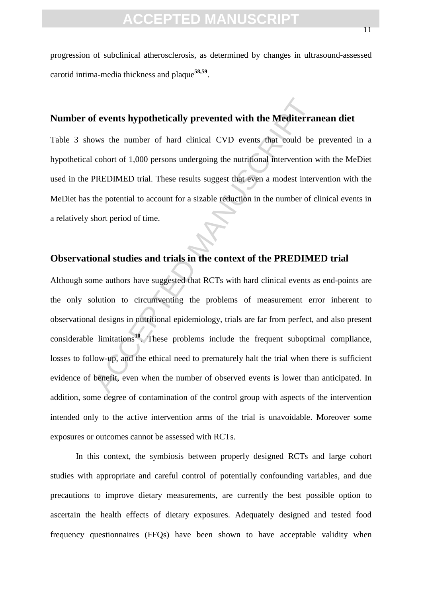progression of subclinical atherosclerosis, as determined by changes in ultrasound-assessed carotid intima-media thickness and plaque**58,59** .

#### **Number of events hypothetically prevented with the Mediterranean diet**

Table 3 shows the number of hard clinical CVD events that could be prevented in a hypothetical cohort of 1,000 persons undergoing the nutritional intervention with the MeDiet used in the PREDIMED trial. These results suggest that even a modest intervention with the MeDiet has the potential to account for a sizable reduction in the number of clinical events in a relatively short period of time.

#### **Observational studies and trials in the context of the PREDIMED trial**

**Solutionary Example 12** and the Mediterra<br>
Solution of 1,000 persons undergoing the nutritional intervention versions of 1,000 persons undergoing the nutritional intervention versions undergoing the nutritional interventi Although some authors have suggested that RCTs with hard clinical events as end-points are the only solution to circumventing the problems of measurement error inherent to observational designs in nutritional epidemiology, trials are far from perfect, and also present considerable limitations**<sup>10</sup>**. These problems include the frequent suboptimal compliance, losses to follow-up, and the ethical need to prematurely halt the trial when there is sufficient evidence of benefit, even when the number of observed events is lower than anticipated. In addition, some degree of contamination of the control group with aspects of the intervention intended only to the active intervention arms of the trial is unavoidable. Moreover some exposures or outcomes cannot be assessed with RCTs.

In this context, the symbiosis between properly designed RCTs and large cohort studies with appropriate and careful control of potentially confounding variables, and due precautions to improve dietary measurements, are currently the best possible option to ascertain the health effects of dietary exposures. Adequately designed and tested food frequency questionnaires (FFQs) have been shown to have acceptable validity when

11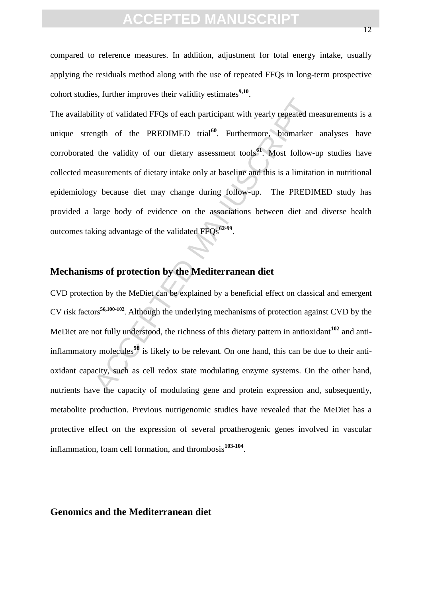compared to reference measures. In addition, adjustment for total energy intake, usually applying the residuals method along with the use of repeated FFQs in long-term prospective cohort studies, further improves their validity estimates**9,10** .

lity of validated FFQs of each participant with yearly repeated magth of the PREDIMED trial<sup>60</sup>. Furthermore, biomarker<br>the validity of our dietary assessment tools<sup>91</sup>. Most follow-u<br>asurements of dietary intake only at The availability of validated FFQs of each participant with yearly repeated measurements is a unique strength of the PREDIMED trial<sup>60</sup>. Furthermore, biomarker analyses have corroborated the validity of our dietary assessment tools**<sup>61</sup>**. Most follow-up studies have collected measurements of dietary intake only at baseline and this is a limitation in nutritional epidemiology because diet may change during follow-up. The PREDIMED study has provided a large body of evidence on the associations between diet and diverse health outcomes taking advantage of the validated FFQs**62-99** .

#### **Mechanisms of protection by the Mediterranean diet**

CVD protection by the MeDiet can be explained by a beneficial effect on classical and emergent CV risk factors**56,100-102** . Although the underlying mechanisms of protection against CVD by the MeDiet are not fully understood, the richness of this dietary pattern in antioxidant<sup>102</sup> and antiinflammatory molecules**<sup>98</sup>** is likely to be relevant. On one hand, this can be due to their antioxidant capacity, such as cell redox state modulating enzyme systems. On the other hand, nutrients have the capacity of modulating gene and protein expression and, subsequently, metabolite production. Previous nutrigenomic studies have revealed that the MeDiet has a protective effect on the expression of several proatherogenic genes involved in vascular inflammation, foam cell formation, and thrombosis**103-104** .

#### **Genomics and the Mediterranean diet**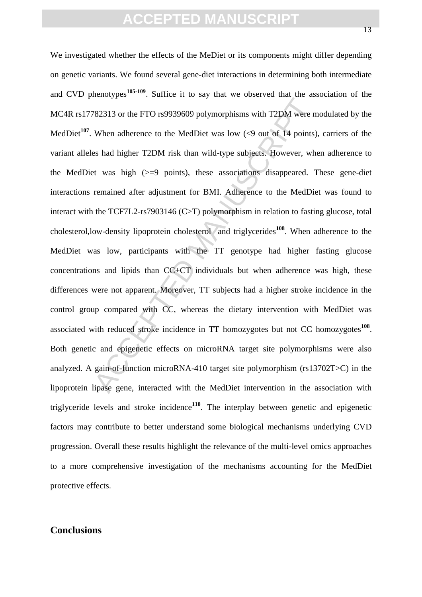$\gamma$ <br>  $\gamma$ <br>  $\gamma$ <br>
ACCEPTED ACCEPTED ANOTED MANUSCRIPT SWATE TO USE ON ( $\gamma$  out of 14 points)<br>
See had higher T2DM risk than wild-type subjects. However, wh<br>
at was high ( $>$ =9 points), these associations disappeared. I<br> We investigated whether the effects of the MeDiet or its components might differ depending on genetic variants. We found several gene-diet interactions in determining both intermediate and CVD phenotypes**105-109**. Suffice it to say that we observed that the association of the MC4R rs17782313 or the FTO rs9939609 polymorphisms with T2DM were modulated by the MedDiet<sup>107</sup>. When adherence to the MedDiet was low  $\ll$ 9 out of 14 points), carriers of the variant alleles had higher T2DM risk than wild-type subjects. However, when adherence to the MedDiet was high (>=9 points), these associations disappeared. These gene-diet interactions remained after adjustment for BMI. Adherence to the MedDiet was found to interact with the TCF7L2-rs7903146 (C>T) polymorphism in relation to fasting glucose, total cholesterol,low-density lipoprotein cholesterol and triglycerides**<sup>108</sup>**. When adherence to the MedDiet was low, participants with the TT genotype had higher fasting glucose concentrations and lipids than CC+CT individuals but when adherence was high, these differences were not apparent. Moreover, TT subjects had a higher stroke incidence in the control group compared with CC, whereas the dietary intervention with MedDiet was associated with reduced stroke incidence in TT homozygotes but not CC homozygotes<sup>108</sup>. Both genetic and epigenetic effects on microRNA target site polymorphisms were also analyzed. A gain-of-function microRNA-410 target site polymorphism (rs13702T>C) in the lipoprotein lipase gene, interacted with the MedDiet intervention in the association with triglyceride levels and stroke incidence**<sup>110</sup>**. The interplay between genetic and epigenetic factors may contribute to better understand some biological mechanisms underlying CVD progression. Overall these results highlight the relevance of the multi-level omics approaches to a more comprehensive investigation of the mechanisms accounting for the MedDiet protective effects.

#### **Conclusions**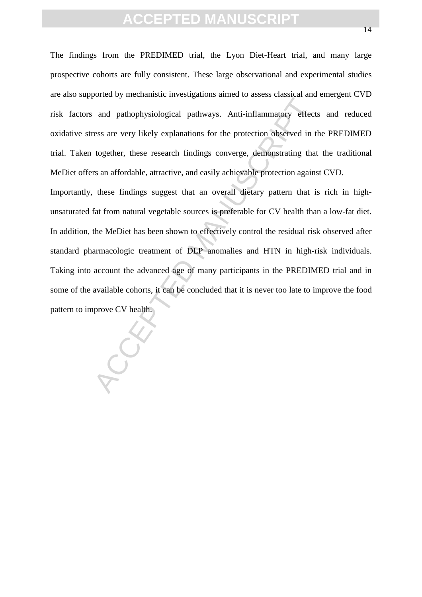The findings from the PREDIMED trial, the Lyon Diet-Heart trial, and many large prospective cohorts are fully consistent. These large observational and experimental studies are also supported by mechanistic investigations aimed to assess classical and emergent CVD risk factors and pathophysiological pathways. Anti-inflammatory effects and reduced oxidative stress are very likely explanations for the protection observed in the PREDIMED trial. Taken together, these research findings converge, demonstrating that the traditional MeDiet offers an affordable, attractive, and easily achievable protection against CVD.

and pathophysiological pathways. Anti-inflammatory effect<br>ress are very likely explanations for the protection observed in together, these research findings converge, demonstrating that<br>rs an affordable, attractive, and ea Importantly, these findings suggest that an overall dietary pattern that is rich in highunsaturated fat from natural vegetable sources is preferable for CV health than a low-fat diet. In addition, the MeDiet has been shown to effectively control the residual risk observed after standard pharmacologic treatment of DLP anomalies and HTN in high-risk individuals. Taking into account the advanced age of many participants in the PREDIMED trial and in some of the available cohorts, it can be concluded that it is never too late to improve the food pattern to improve CV health.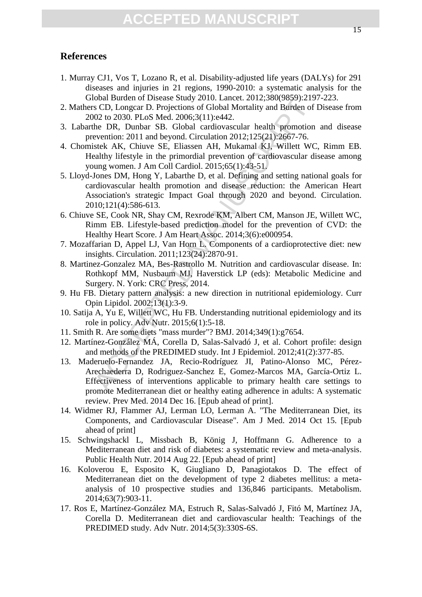#### **References**

- 1. Murray CJ1, Vos T, Lozano R, et al. Disability-adjusted life years (DALYs) for 291 diseases and injuries in 21 regions, 1990-2010: a systematic analysis for the Global Burden of Disease Study 2010. Lancet. 2012;380(9859):2197-223.
- 2. Mathers CD, Longcar D. Projections of Global Mortality and Burden of Disease from 2002 to 2030. PLoS Med. 2006;3(11):e442.
- 3. Labarthe DR, Dunbar SB. Global cardiovascular health promotion and disease prevention: 2011 and beyond. Circulation 2012;125(21):2667-76.
- 4. Chomistek AK, Chiuve SE, Eliassen AH, Mukamal KJ, Willett WC, Rimm EB. Healthy lifestyle in the primordial prevention of cardiovascular disease among young women. J Am Coll Cardiol. 2015;65(1):43-51.
- oloula butuari of Disease Stuay 2010. Lattieet. 2012;2000/8599.1/21<br>SCD, Longcar D. Projections of Global Mortality and Burden of<br>02 to 2030. PLoS Med. 2006;3(11):e442.<br>the DR, Dunbar SB. Global cardiovascular headth promo 5. Lloyd-Jones DM, Hong Y, Labarthe D, et al. Defining and setting national goals for cardiovascular health promotion and disease reduction: the American Heart Association's strategic Impact Goal through 2020 and beyond. Circulation. 2010;121(4):586-613.
- 6. Chiuve SE, Cook NR, Shay CM, Rexrode KM, Albert CM, Manson JE, Willett WC, Rimm EB. Lifestyle-based prediction model for the prevention of CVD: the Healthy Heart Score. J Am Heart Assoc. 2014;3(6):e000954.
- 7. Mozaffarian D, Appel LJ, Van Horn L. Components of a cardioprotective diet: new insights. Circulation. 2011;123(24):2870-91.
- 8. Martinez-Gonzalez MA, Bes-Rastrollo M. Nutrition and cardiovascular disease. In: Rothkopf MM, Nusbaum MJ, Haverstick LP (eds): Metabolic Medicine and Surgery. N. York: CRC Press, 2014.
- 9. Hu FB. Dietary pattern analysis: a new direction in nutritional epidemiology. Curr Opin Lipidol. 2002;13(1):3-9.
- 10. Satija A, Yu E, Willett WC, Hu FB. Understanding nutritional epidemiology and its role in policy. Adv Nutr. 2015;6(1):5-18.
- 11. Smith R. Are some diets "mass murder"? BMJ. 2014;349(1):g7654.
- 12. Martínez-González MÁ, Corella D, Salas-Salvadó J, et al. Cohort profile: design and methods of the PREDIMED study. Int J Epidemiol. 2012;41(2):377-85.
- 13. Maderuelo-Fernandez JA, Recio-Rodríguez JI, Patino-Alonso MC, Pérez-Arechaederra D, Rodriguez-Sanchez E, Gomez-Marcos MA, García-Ortiz L. Effectiveness of interventions applicable to primary health care settings to promote Mediterranean diet or healthy eating adherence in adults: A systematic review. Prev Med. 2014 Dec 16. [Epub ahead of print].
- 14. Widmer RJ, Flammer AJ, Lerman LO, Lerman A. "The Mediterranean Diet, its Components, and Cardiovascular Disease". Am J Med. 2014 Oct 15. [Epub ahead of print]
- 15. Schwingshackl L, Missbach B, König J, Hoffmann G. Adherence to a Mediterranean diet and risk of diabetes: a systematic review and meta-analysis. Public Health Nutr. 2014 Aug 22. [Epub ahead of print]
- 16. Koloverou E, Esposito K, Giugliano D, Panagiotakos D. The effect of Mediterranean diet on the development of type 2 diabetes mellitus: a metaanalysis of 10 prospective studies and 136,846 participants. Metabolism. 2014;63(7):903-11.
- 17. Ros E, Martínez-González MA, Estruch R, Salas-Salvadó J, Fitó M, Martínez JA, Corella D. Mediterranean diet and cardiovascular health: Teachings of the PREDIMED study. Adv Nutr. 2014;5(3):330S-6S.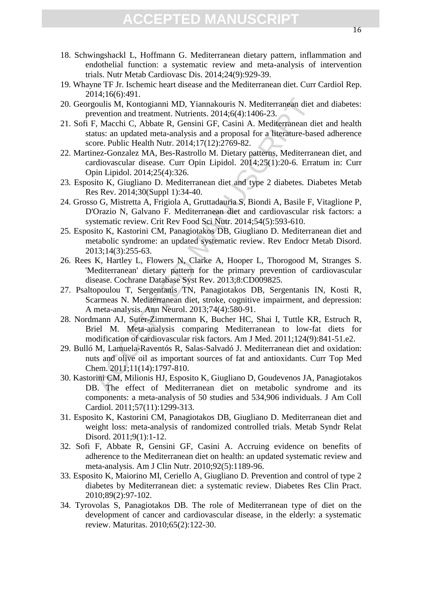- 18. Schwingshackl L, Hoffmann G. Mediterranean dietary pattern, inflammation and endothelial function: a systematic review and meta-analysis of intervention trials. Nutr Metab Cardiovasc Dis. 2014;24(9):929-39.
- 19. Whayne TF Jr. Ischemic heart disease and the Mediterranean diet. Curr Cardiol Rep. 2014;16(6):491.
- 20. Georgoulis M, Kontogianni MD, Yiannakouris N. Mediterranean diet and diabetes: prevention and treatment. Nutrients. 2014;6(4):1406-23.
- 21. Sofi F, Macchi C, Abbate R, Gensini GF, Casini A. Mediterranean diet and health status: an updated meta-analysis and a proposal for a literature-based adherence score. Public Health Nutr. 2014;17(12):2769-82.
- 22. Martinez-Gonzalez MA, Bes-Rastrollo M. Dietary patterns, Mediterranean diet, and cardiovascular disease. Curr Opin Lipidol. 2014;25(1):20-6. Erratum in: Curr Opin Lipidol. 2014;25(4):326.
- 23. Esposito K, Giugliano D. Mediterranean diet and type 2 diabetes. Diabetes Metab Res Rev. 2014;30(Suppl 1):34-40.
- 24. Grosso G, Mistretta A, Frigiola A, Gruttadauria S, Biondi A, Basile F, Vitaglione P, D'Orazio N, Galvano F. Mediterranean diet and cardiovascular risk factors: a systematic review. Crit Rev Food Sci Nutr. 2014;54(5):593-610.
- 25. Esposito K, Kastorini CM, Panagiotakos DB, Giugliano D. Mediterranean diet and metabolic syndrome: an updated systematic review. Rev Endocr Metab Disord. 2013;14(3):255-63.
- 26. Rees K, Hartley L, Flowers N, Clarke A, Hooper L, Thorogood M, Stranges S. 'Mediterranean' dietary pattern for the primary prevention of cardiovascular disease. Cochrane Database Syst Rev. 2013;8:CD009825.
- 27. Psaltopoulou T, Sergentanis TN, Panagiotakos DB, Sergentanis IN, Kosti R, Scarmeas N. Mediterranean diet, stroke, cognitive impairment, and depression: A meta-analysis. Ann Neurol. 2013;74(4):580-91.
- goulis M, Kontogianni MD, Yiannakouris N. Mediterranean diet<br>evention and treatment. Nutrients. 2014;6(4):1406-23.<br>F, Macchi C, Abbate R, Gensini GF, Casini A. Mediterranean di<br>etx, Macchi C, Abbate R, Gensini GF, Casini A 28. Nordmann AJ, Suter-Zimmermann K, Bucher HC, Shai I, Tuttle KR, Estruch R, Briel M. Meta-analysis comparing Mediterranean to low-fat diets for modification of cardiovascular risk factors. Am J Med. 2011;124(9):841-51.e2.
- 29. Bulló M, Lamuela-Raventós R, Salas-Salvadó J. Mediterranean diet and oxidation: nuts and olive oil as important sources of fat and antioxidants. Curr Top Med Chem. 2011;11(14):1797-810.
- 30. Kastorini CM, Milionis HJ, Esposito K, Giugliano D, Goudevenos JA, Panagiotakos DB. The effect of Mediterranean diet on metabolic syndrome and its components: a meta-analysis of 50 studies and 534,906 individuals. J Am Coll Cardiol. 2011;57(11):1299-313.
- 31. Esposito K, Kastorini CM, Panagiotakos DB, Giugliano D. Mediterranean diet and weight loss: meta-analysis of randomized controlled trials. Metab Syndr Relat Disord. 2011;9(1):1-12.
- 32. Sofi F, Abbate R, Gensini GF, Casini A. Accruing evidence on benefits of adherence to the Mediterranean diet on health: an updated systematic review and meta-analysis. Am J Clin Nutr. 2010;92(5):1189-96.
- 33. Esposito K, Maiorino MI, Ceriello A, Giugliano D. Prevention and control of type 2 diabetes by Mediterranean diet: a systematic review. Diabetes Res Clin Pract. 2010;89(2):97-102.
- 34. Tyrovolas S, Panagiotakos DB. The role of Mediterranean type of diet on the development of cancer and cardiovascular disease, in the elderly: a systematic review. Maturitas. 2010;65(2):122-30.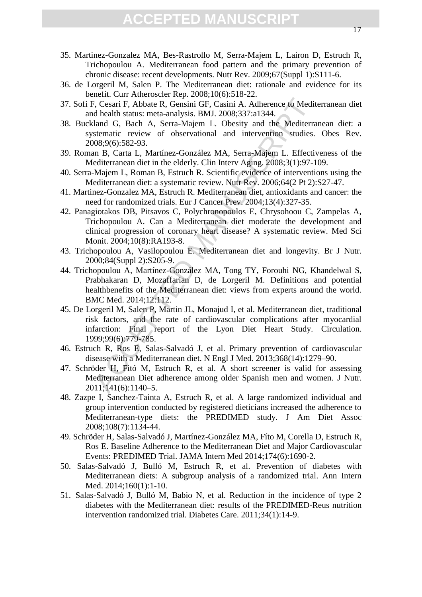- 35. Martinez-Gonzalez MA, Bes-Rastrollo M, Serra-Majem L, Lairon D, Estruch R, Trichopoulou A. Mediterranean food pattern and the primary prevention of chronic disease: recent developments. Nutr Rev. 2009;67(Suppl 1):S111-6.
- 36. de Lorgeril M, Salen P. The Mediterranean diet: rationale and evidence for its benefit. Curr Atheroscler Rep. 2008;10(6):518-22.
- 37. Sofi F, Cesari F, Abbate R, Gensini GF, Casini A. Adherence to Mediterranean diet and health status: meta-analysis. BMJ. 2008;337:a1344.
- 38. Buckland G, Bach A, Serra-Majem L. Obesity and the Mediterranean diet: a systematic review of observational and intervention studies. Obes Rev. 2008;9(6):582-93.
- 39. Roman B, Carta L, Martínez-González MA, Serra-Majem L. Effectiveness of the Mediterranean diet in the elderly. Clin Interv Aging. 2008;3(1):97-109.
- 40. Serra-Majem L, Roman B, Estruch R. Scientific evidence of interventions using the Mediterranean diet: a systematic review. Nutr Rev. 2006;64(2 Pt 2):S27-47.
- 41. Martinez-Gonzalez MA, Estruch R. Mediterranean diet, antioxidants and cancer: the need for randomized trials. Eur J Cancer Prev. 2004;13(4):327-35.
- 42. Panagiotakos DB, Pitsavos C, Polychronopoulos E, Chrysohoou C, Zampelas A, Trichopoulou A. Can a Mediterranean diet moderate the development and clinical progression of coronary heart disease? A systematic review. Med Sci Monit. 2004;10(8):RA193-8.
- 43. Trichopoulou A, Vasilopoulou E. Mediterranean diet and longevity. Br J Nutr. 2000;84(Suppl 2):S205-9.
- 44. Trichopoulou A, Martínez-González MA, Tong TY, Forouhi NG, Khandelwal S, Prabhakaran D, Mozaffarian D, de Lorgeril M. Definitions and potential healthbenefits of the Mediterranean diet: views from experts around the world. BMC Med. 2014;12:112.
- <sup>2</sup>, Cesari F, Abbate R, Gensini GF, Casini A. Adherence to Medit<br>d health status: meta-analysis. BMJ. 2008;337:a1344.<br>Hand G, Bach A, Serra-Majem L. Obesity and the Mediterra<br>stematic review of observational and intervent 45. De Lorgeril M, Salen P, Martin JL, Monajud I, et al. Mediterranean diet, traditional risk factors, and the rate of cardiovascular complications after myocardial infarction: Final report of the Lyon Diet Heart Study. Circulation. 1999;99(6):779-785.
- 46. Estruch R, Ros E, Salas-Salvadó J, et al. Primary prevention of cardiovascular disease with a Mediterranean diet. N Engl J Med. 2013;368(14):1279–90.
- 47. Schröder H, Fitó M, Estruch R, et al. A short screener is valid for assessing Mediterranean Diet adherence among older Spanish men and women. J Nutr. 2011;141(6):1140–5.
- 48. Zazpe I, Sanchez-Tainta A, Estruch R, et al. A large randomized individual and group intervention conducted by registered dieticians increased the adherence to Mediterranean-type diets: the PREDIMED study. J Am Diet Assoc 2008;108(7):1134-44.
- 49. Schröder H, Salas-Salvadó J, Martínez-González MA, Fíto M, Corella D, Estruch R, Ros E. Baseline Adherence to the Mediterranean Diet and Major Cardiovascular Events: PREDIMED Trial. JAMA Intern Med 2014;174(6):1690-2.
- 50. Salas-Salvadó J, Bulló M, Estruch R, et al. Prevention of diabetes with Mediterranean diets: A subgroup analysis of a randomized trial. Ann Intern Med. 2014;160(1):1-10.
- 51. Salas-Salvadó J, Bulló M, Babio N, et al. Reduction in the incidence of type 2 diabetes with the Mediterranean diet: results of the PREDIMED-Reus nutrition intervention randomized trial. Diabetes Care. 2011;34(1):14-9.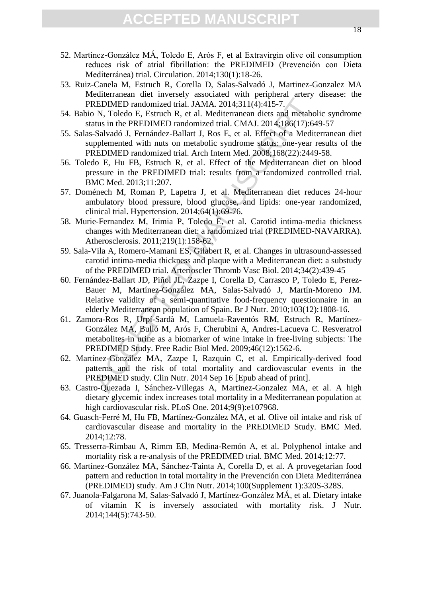- 52. Martínez-González MÁ, Toledo E, Arós F, et al Extravirgin olive oil consumption reduces risk of atrial fibrillation: the PREDIMED (Prevención con Dieta Mediterránea) trial. Circulation. 2014;130(1):18-26.
- 53. Ruiz-Canela M, Estruch R, Corella D, Salas-Salvadó J, Martinez-Gonzalez MA Mediterranean diet inversely associated with peripheral artery disease: the PREDIMED randomized trial. JAMA. 2014;311(4):415-7.
- 54. Babio N, Toledo E, Estruch R, et al. Mediterranean diets and metabolic syndrome status in the PREDIMED randomized trial. CMAJ. 2014;186(17):649-57
- 55. Salas-Salvadó J, Fernández-Ballart J, Ros E, et al. Effect of a Mediterranean diet supplemented with nuts on metabolic syndrome status: one-year results of the PREDIMED randomized trial. Arch Intern Med. 2008;168(22):2449-58.
- 56. Toledo E, Hu FB, Estruch R, et al. Effect of the Mediterranean diet on blood pressure in the PREDIMED trial: results from a randomized controlled trial. BMC Med. 2013;11:207.
- 57. Doménech M, Roman P, Lapetra J, et al. Mediterranean diet reduces 24-hour ambulatory blood pressure, blood glucose, and lipids: one-year randomized, clinical trial. Hypertension. 2014;64(1):69-76.
- 58. Murie-Fernandez M, Irimia P, Toledo E, et al. Carotid intima-media thickness changes with Mediterranean diet: a randomized trial (PREDIMED-NAVARRA). Atherosclerosis. 2011;219(1):158-62.
- 59. Sala-Vila A, Romero-Mamani ES, Gilabert R, et al. Changes in ultrasound-assessed carotid intima-media thickness and plaque with a Mediterranean diet: a substudy of the PREDIMED trial. Arterioscler Thromb Vasc Biol. 2014;34(2):439-45
- REDIMED randomized trial. JAMA. 2014;311(4):415-7.<br>
N., Toledo E, Estruch R, et al. Mediterranean diets and metabor<br>
Attua in the REDIMED randomized trial. CMAI. 2014;186(17):66<br>
Salvadó J, Fernández-Ballart J, Ros E, et a 60. Fernández-Ballart JD, Piñol JL, Zazpe I, Corella D, Carrasco P, Toledo E, Perez-Bauer M, Martínez-González MA, Salas-Salvadó J, Martín-Moreno JM. Relative validity of a semi-quantitative food-frequency questionnaire in an elderly Mediterranean population of Spain. Br J Nutr. 2010;103(12):1808-16.
- 61. Zamora-Ros R, Urpí-Sardà M, Lamuela-Raventós RM, Estruch R, Martínez-González MA, Bulló M, Arós F, Cherubini A, Andres-Lacueva C. Resveratrol metabolites in urine as a biomarker of wine intake in free-living subjects: The PREDIMED Study. Free Radic Biol Med. 2009;46(12):1562-6.
- 62. Martínez-González MA, Zazpe I, Razquin C, et al. Empirically-derived food patterns and the risk of total mortality and cardiovascular events in the PREDIMED study. Clin Nutr. 2014 Sep 16 [Epub ahead of print].
- 63. Castro-Quezada I, Sánchez-Villegas A, Martinez-Gonzalez MA, et al. A high dietary glycemic index increases total mortality in a Mediterranean population at high cardiovascular risk. PLoS One. 2014;9(9):e107968.
- 64. Guasch-Ferré M, Hu FB, Martínez-González MA, et al. Olive oil intake and risk of cardiovascular disease and mortality in the PREDIMED Study. BMC Med. 2014;12:78.
- 65. Tresserra-Rimbau A, Rimm EB, Medina-Remón A, et al. Polyphenol intake and mortality risk a re-analysis of the PREDIMED trial. BMC Med. 2014;12:77.
- 66. Martínez-González MA, Sánchez-Tainta A, Corella D, et al. A provegetarian food pattern and reduction in total mortality in the Prevención con Dieta Mediterránea (PREDIMED) study. Am J Clin Nutr. 2014;100(Supplement 1):320S-328S.
- 67. Juanola-Falgarona M, Salas-Salvadó J, Martínez-González MÁ, et al. Dietary intake of vitamin K is inversely associated with mortality risk. J Nutr. 2014;144(5):743-50.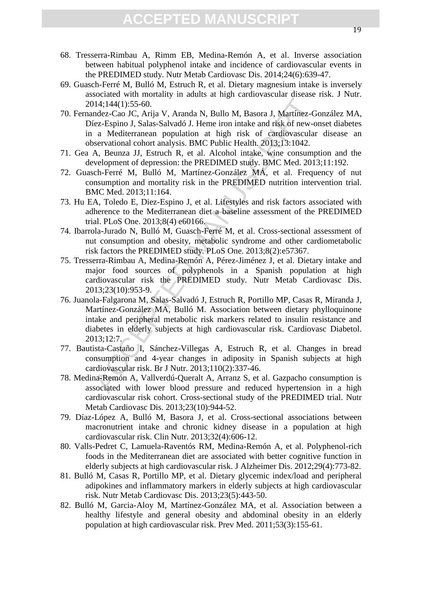- 68. Tresserra-Rimbau A, Rimm EB, Medina-Remón A, et al. Inverse association between habitual polyphenol intake and incidence of cardiovascular events in the PREDIMED study. Nutr Metab Cardiovasc Dis. 2014;24(6):639-47.
- 69. Guasch-Ferré M, Bulló M, Estruch R, et al. Dietary magnesium intake is inversely associated with mortality in adults at high cardiovascular disease risk. J Nutr. 2014;144(1):55-60.
- 70. Fernandez-Cao JC, Arija V, Aranda N, Bullo M, Basora J, Martínez-González MA, Díez-Espino J, Salas-Salvadó J. Heme iron intake and risk of new-onset diabetes in a Mediterranean population at high risk of cardiovascular disease an observational cohort analysis. BMC Public Health. 2013;13:1042.
- 71. Gea A, Beunza JJ, Estruch R, et al. Alcohol intake, wine consumption and the development of depression: the PREDIMED study. BMC Med. 2013;11:192.
- 72. Guasch-Ferré M, Bulló M, Martínez-González MÁ, et al. Frequency of nut consumption and mortality risk in the PREDIMED nutrition intervention trial. BMC Med. 2013;11:164.
- 73. Hu EA, Toledo E, Diez-Espino J, et al. Lifestyles and risk factors associated with adherence to the Mediterranean diet a baseline assessment of the PREDIMED trial. PLoS One. 2013;8(4) e60166.
- 74. Ibarrola-Jurado N, Bulló M, Guasch-Ferré M, et al. Cross-sectional assessment of nut consumption and obesity, metabolic syndrome and other cardiometabolic risk factors the PREDIMED study. PLoS One. 2013;8(2):e57367.
- 75. Tresserra-Rimbau A, Medina-Remón A, Pérez-Jiménez J, et al. Dietary intake and major food sources of polyphenols in a Spanish population at high cardiovascular risk the PREDIMED study. Nutr Metab Cardiovasc Dis. 2013;23(10):953-9.
- 114;144(1):55-60.<br>
ndez-Cao JC, Arija V, Aranda N, Bullo M, Basora J, Martínez-Gao JC, Arija V, Aranda N, Bullo M, Basora J, Martínez-Gao and Arigo and Salas-Salvadó J. Heme iron intake and risk of cardiovascular<br>
servatio 76. Juanola-Falgarona M, Salas-Salvadó J, Estruch R, Portillo MP, Casas R, Miranda J, Martínez-González MA, Bulló M. Association between dietary phylloquinone intake and peripheral metabolic risk markers related to insulin resistance and diabetes in elderly subjects at high cardiovascular risk. Cardiovasc Diabetol. 2013;12:7.
- 77. Bautista-Castaño I, Sánchez-Villegas A, Estruch R, et al. Changes in bread consumption and 4-year changes in adiposity in Spanish subjects at high cardiovascular risk. Br J Nutr. 2013;110(2):337-46.
- 78. Medina-Remón A, Vallverdú-Queralt A, Arranz S, et al. Gazpacho consumption is associated with lower blood pressure and reduced hypertension in a high cardiovascular risk cohort. Cross-sectional study of the PREDIMED trial. Nutr Metab Cardiovasc Dis. 2013;23(10):944-52.
- 79. Díaz-López A, Bulló M, Basora J, et al. Cross-sectional associations between macronutrient intake and chronic kidney disease in a population at high cardiovascular risk. Clin Nutr. 2013;32(4):606-12.
- 80. Valls-Pedret C, Lamuela-Raventós RM, Medina-Remón A, et al. Polyphenol-rich foods in the Mediterranean diet are associated with better cognitive function in elderly subjects at high cardiovascular risk. J Alzheimer Dis. 2012;29(4):773-82.
- 81. Bulló M, Casas R, Portillo MP, et al. Dietary glycemic index/load and peripheral adipokines and inflammatory markers in elderly subjects at high cardiovascular risk. Nutr Metab Cardiovasc Dis. 2013;23(5):443-50.
- 82. Bulló M, Garcia-Aloy M, Martínez-González MA, et al. Association between a healthy lifestyle and general obesity and abdominal obesity in an elderly population at high cardiovascular risk. Prev Med. 2011;53(3):155-61.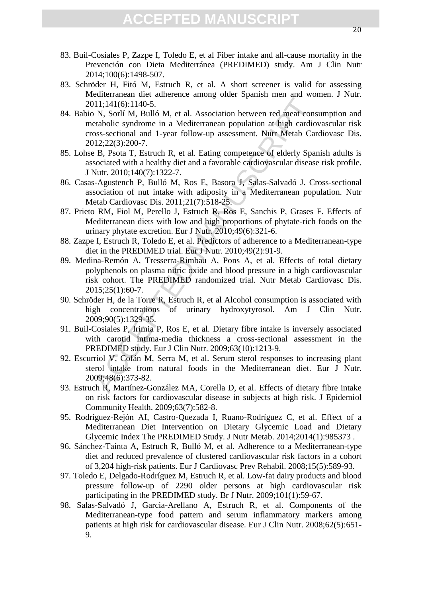- 83. Buil-Cosiales P, Zazpe I, Toledo E, et al Fiber intake and all-cause mortality in the Prevención con Dieta Mediterránea (PREDIMED) study. Am J Clin Nutr 2014;100(6):1498-507.
- 83. Schröder H, Fitó M, Estruch R, et al. A short screener is valid for assessing Mediterranean diet adherence among older Spanish men and women. J Nutr. 2011;141(6):1140-5.
- 84. Babio N, Sorlí M, Bulló M, et al. Association between red meat consumption and metabolic syndrome in a Mediterranean population at high cardiovascular risk cross-sectional and 1-year follow-up assessment. Nutr Metab Cardiovasc Dis. 2012;22(3):200-7.
- 85. Lohse B, Psota T, Estruch R, et al. Eating competence of elderly Spanish adults is associated with a healthy diet and a favorable cardiovascular disease risk profile. J Nutr. 2010;140(7):1322-7.
- 86. Casas-Agustench P, Bulló M, Ros E, Basora J, Salas-Salvadó J. Cross-sectional association of nut intake with adiposity in a Mediterranean population. Nutr Metab Cardiovasc Dis. 2011;21(7):518-25.
- 87. Prieto RM, Fiol M, Perello J, Estruch R, Ros E, Sanchis P, Grases F. Effects of Mediterranean diets with low and high proportions of phytate-rich foods on the urinary phytate excretion. Eur J Nutr. 2010;49(6):321-6.
- 88. Zazpe I, Estruch R, Toledo E, et al. Predictors of adherence to a Mediterranean-type diet in the PREDIMED trial. Eur J Nutr. 2010;49(2):91-9.
- 111;141(6):1140-5.<br>
11;141(6):1140-5.<br>
N, Sorlí M, Bulló M, et al. Association between red meat conselected<br>
to syndrome in a Mediterranean population at high cardio<br>
oss-sectional and 1-year follow-up assessment. Nutr Me 89. Medina-Remón A, Tresserra-Rimbau A, Pons A, et al. Effects of total dietary polyphenols on plasma nitric oxide and blood pressure in a high cardiovascular risk cohort. The PREDIMED randomized trial. Nutr Metab Cardiovasc Dis. 2015;25(1):60-7.
- 90. Schröder H, de la Torre R, Estruch R, et al Alcohol consumption is associated with high concentrations of urinary hydroxytyrosol. Am J Clin Nutr. 2009;90(5):1329-35.
- 91. Buil-Cosiales P, Irimia P, Ros E, et al. Dietary fibre intake is inversely associated with carotid intima-media thickness a cross-sectional assessment in the PREDIMED study. Eur J Clin Nutr. 2009;63(10):1213-9.
- 92. Escurriol V, Cofán M, Serra M, et al. Serum sterol responses to increasing plant sterol intake from natural foods in the Mediterranean diet. Eur J Nutr. 2009;48(6):373-82.
- 93. Estruch R, Martínez-González MA, Corella D, et al. Effects of dietary fibre intake on risk factors for cardiovascular disease in subjects at high risk. J Epidemiol Community Health. 2009;63(7):582-8.
- 95. Rodríguez-Rejón AI, Castro-Quezada I, Ruano-Rodríguez C, et al. Effect of a Mediterranean Diet Intervention on Dietary Glycemic Load and Dietary Glycemic Index The PREDIMED Study. J Nutr Metab. 2014;2014(1):985373 .
- 96. Sánchez-Taínta A, Estruch R, Bulló M, et al. Adherence to a Mediterranean-type diet and reduced prevalence of clustered cardiovascular risk factors in a cohort of 3,204 high-risk patients. Eur J Cardiovasc Prev Rehabil. 2008;15(5):589-93.
- 97. Toledo E, Delgado-Rodríguez M, Estruch R, et al. Low-fat dairy products and blood pressure follow-up of 2290 older persons at high cardiovascular risk participating in the PREDIMED study. Br J Nutr. 2009;101(1):59-67.
- 98. Salas-Salvadó J, Garcia-Arellano A, Estruch R, et al. Components of the Mediterranean-type food pattern and serum inflammatory markers among patients at high risk for cardiovascular disease. Eur J Clin Nutr. 2008;62(5):651- 9.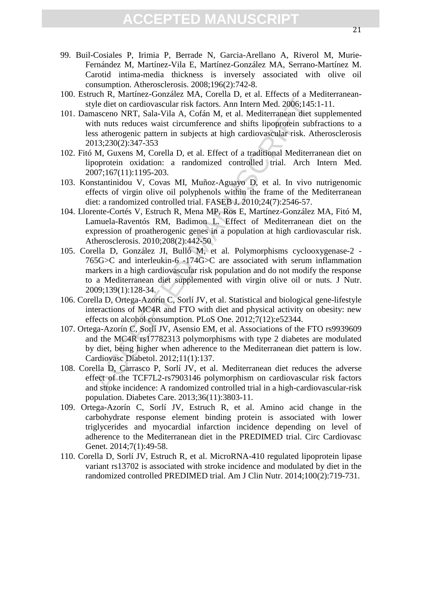- 99. Buil-Cosiales P, Irimia P, Berrade N, Garcia-Arellano A, Riverol M, Murie-Fernández M, Martínez-Vila E, Martínez-González MA, Serrano-Martínez M. Carotid intima-media thickness is inversely associated with olive oil consumption. Atherosclerosis. 2008;196(2):742-8.
- 100. Estruch R, Martínez-González MA, Corella D, et al. Effects of a Mediterraneanstyle diet on cardiovascular risk factors. Ann Intern Med. 2006;145:1-11.
- 101. Damasceno NRT, Sala-Vila A, Cofán M, et al. Mediterranean diet supplemented with nuts reduces waist circumference and shifts lipoprotein subfractions to a less atherogenic pattern in subjects at high cardiovascular risk. Atherosclerosis 2013;230(2):347-353
- 102. Fitó M, Guxens M, Corella D, et al. Effect of a traditional Mediterranean diet on lipoprotein oxidation: a randomized controlled trial. Arch Intern Med. 2007;167(11):1195-203.
- 103. Konstantinidou V, Covas MI, Muñoz-Aguayo D, et al. In vivo nutrigenomic effects of virgin olive oil polyphenols within the frame of the Mediterranean diet: a randomized controlled trial. FASEB J. 2010;24(7):2546-57.
- 104. Llorente-Cortés V, Estruch R, Mena MP, Ros E, Martínez-González MA, Fitó M, Lamuela-Raventós RM, Badimon L. Effect of Mediterranean diet on the expression of proatherogenic genes in a population at high cardiovascular risk. Atherosclerosis. 2010;208(2):442-50
- yle diet on cardiovascular risk factors. Ann Intern Med. 2006;145:<br>aasceno NRT, Sala-Vila A, Cofán M, et al. Mediterranean diet stitus reduces was<br>it criticalistic and shifts lipoprotein subfurtables sustancepare and<br>since 105. Corella D, González JI, Bulló M, et al. Polymorphisms cyclooxygenase-2 - 765G>C and interleukin-6 -174G>C are associated with serum inflammation markers in a high cardiovascular risk population and do not modify the response to a Mediterranean diet supplemented with virgin olive oil or nuts. J Nutr. 2009;139(1):128-34.
- 106. Corella D, Ortega-Azorín C, Sorlí JV, et al. Statistical and biological gene-lifestyle interactions of MC4R and FTO with diet and physical activity on obesity: new effects on alcohol consumption. PLoS One. 2012;7(12):e52344.
- 107. Ortega-Azorín C, Sorlí JV, Asensio EM, et al. Associations of the FTO rs9939609 and the MC4R rs17782313 polymorphisms with type 2 diabetes are modulated by diet, being higher when adherence to the Mediterranean diet pattern is low. Cardiovasc Diabetol. 2012;11(1):137.
- 108. Corella D, Carrasco P, Sorlí JV, et al. Mediterranean diet reduces the adverse effect of the TCF7L2-rs7903146 polymorphism on cardiovascular risk factors and stroke incidence: A randomized controlled trial in a high-cardiovascular-risk population. Diabetes Care. 2013;36(11):3803-11.
- 109. Ortega-Azorín C, Sorlí JV, Estruch R, et al. Amino acid change in the carbohydrate response element binding protein is associated with lower triglycerides and myocardial infarction incidence depending on level of adherence to the Mediterranean diet in the PREDIMED trial. Circ Cardiovasc Genet. 2014;7(1):49-58.
- 110. Corella D, Sorlí JV, Estruch R, et al. MicroRNA-410 regulated lipoprotein lipase variant rs13702 is associated with stroke incidence and modulated by diet in the randomized controlled PREDIMED trial. Am J Clin Nutr. 2014;100(2):719-731.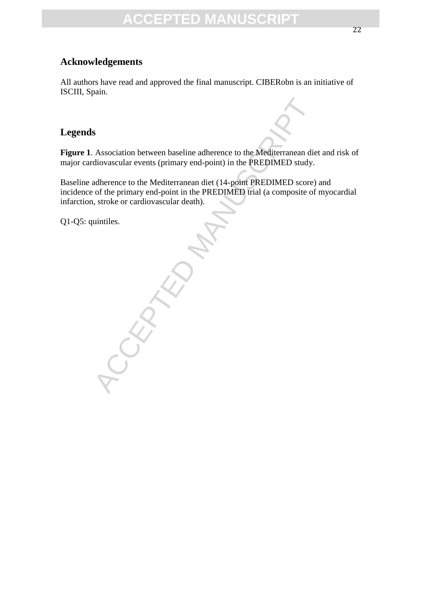### **Acknowledgements**

All authors have read and approved the final manuscript. CIBERobn is an initiative of ISCIII, Spain.

#### **Legends**

**Figure 1**. Association between baseline adherence to the Mediterranean diet and risk of major cardiovascular events (primary end-point) in the PREDIMED study.

Baseline adherence to the Mediterranean diet (14-point PREDIMED score) and incidence of the primary end-point in the PREDIMED trial (a composite of myocardial infarction, stroke or cardiovascular death).

Q1-Q5: quintiles.

ROCKERY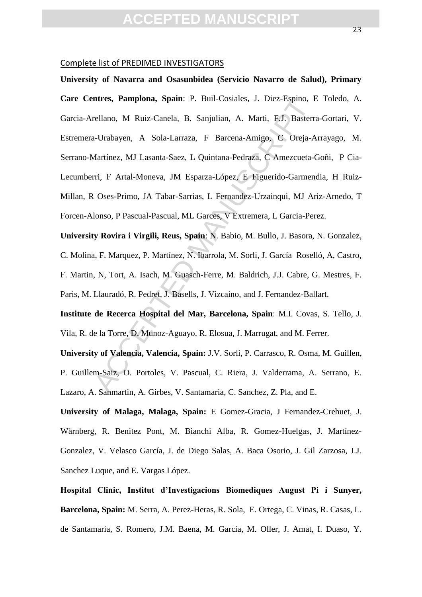#### Complete list of PREDIMED INVESTIGATORS

ntres, Pampiona, Spam: P. Buil-Cosiales, J. Diez-Espino, Erellano, M Ruiz-Canela, B. Sanjulian, A. Marti, F.J. Basterra-<br>1-Urabayen, A Sola-Larraza, F Barcena-Amigo, C Oreja-A<br>4artínez, MJ Lasanta-Saez, L Quintana-Pedraza, **University of Navarra and Osasunbidea (Servicio Navarro de Salud), Primary Care Centres, Pamplona, Spain**: P. Buil-Cosiales, J. Diez-Espino, E Toledo, A. Garcia-Arellano, M Ruiz-Canela, B. Sanjulian, A. Marti, F.J. Basterra-Gortari, V. Estremera-Urabayen, A Sola-Larraza, F Barcena-Amigo, C Oreja-Arrayago, M. Serrano-Martínez, MJ Lasanta-Saez, L Quintana-Pedraza, C Amezcueta-Goñi, P Cia-Lecumberri, F Artal-Moneva, JM Esparza-López, E Figuerido-Garmendia, H Ruiz-Millan, R Oses-Primo, JA Tabar-Sarrias, L Fernandez-Urzainqui, MJ Ariz-Arnedo, T Forcen-Alonso, P Pascual-Pascual, ML Garces, V Extremera, L Garcia-Perez.

**University Rovira i Virgili, Reus, Spain**: N. Babio, M. Bullo, J. Basora, N. Gonzalez, C. Molina, F. Marquez, P. Martínez, N. Ibarrola, M. Sorli, J. García Roselló, A, Castro, F. Martin, N, Tort, A. Isach, M. Guasch-Ferre, M. Baldrich, J.J. Cabre, G. Mestres, F. Paris, M. Llauradó, R. Pedret, J. Basells, J. Vizcaino, and J. Fernandez-Ballart.

**Institute de Recerca Hospital del Mar, Barcelona, Spain**: M.I. Covas, S. Tello, J. Vila, R. de la Torre, D. Munoz-Aguayo, R. Elosua, J. Marrugat, and M. Ferrer.

**University of Valencia, Valencia, Spain:** J.V. Sorli, P. Carrasco, R. Osma, M. Guillen, P. Guillem-Saiz, O. Portoles, V. Pascual, C. Riera, J. Valderrama, A. Serrano, E. Lazaro, A. Sanmartin, A. Girbes, V. Santamaria, C. Sanchez, Z. Pla, and E.

**University of Malaga, Malaga, Spain:** E Gomez-Gracia, J Fernandez-Crehuet, J. Wärnberg, R. Benitez Pont, M. Bianchi Alba, R. Gomez-Huelgas, J. Martínez-Gonzalez, V. Velasco García, J. de Diego Salas, A. Baca Osorio, J. Gil Zarzosa, J.J. Sanchez Luque, and E. Vargas López.

**Hospital Clinic, Institut d'Investigacions Biomediques August Pi i Sunyer, Barcelona, Spain:** M. Serra, A. Perez-Heras, R. Sola, E. Ortega, C. Vinas, R. Casas, L. de Santamaria, S. Romero, J.M. Baena, M. García, M. Oller, J. Amat, I. Duaso, Y.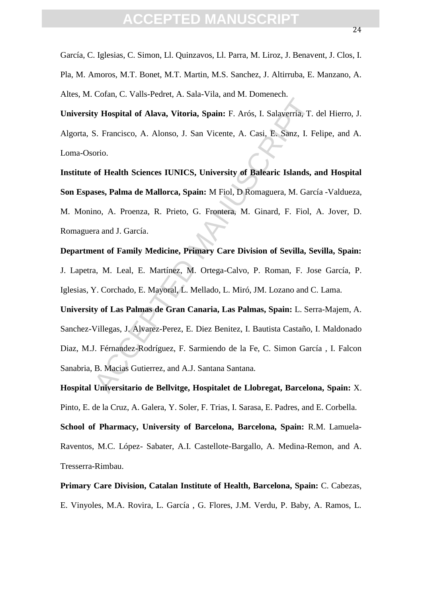García, C. Iglesias, C. Simon, Ll. Quinzavos, Ll. Parra, M. Liroz, J. Benavent, J. Clos, I. Pla, M. Amoros, M.T. Bonet, M.T. Martin, M.S. Sanchez, J. Altirruba, E. Manzano, A. Altes, M. Cofan, C. Valls-Pedret, A. Sala-Vila, and M. Domenech.

**University Hospital of Alava, Vitoria, Spain:** F. Arós, I. Salaverria, T. del Hierro, J. Algorta, S. Francisco, A. Alonso, J. San Vicente, A. Casi, E. Sanz, I. Felipe, and A. Loma-Osorio.

**Institute of Health Sciences IUNICS, University of Balearic Islands, and Hospital Son Espases, Palma de Mallorca, Spain:** M Fiol, D Romaguera, M. García -Valdueza, M. Monino, A. Proenza, R. Prieto, G. Frontera, M. Ginard, F. Fiol, A. Jover, D. Romaguera and J. García.

#### **Department of Family Medicine, Primary Care Division of Sevilla, Sevilla, Spain:**

J. Lapetra, M. Leal, E. Martínez, M. Ortega-Calvo, P. Roman, F. Jose García, P. Iglesias, Y. Corchado, E. Mayoral, L. Mellado, L. Miró, JM. Lozano and C. Lama.

Iv Hospital of Alava, Vitoria, Spain: F. Arós, I. Salaverria, T. S.<br>
S. Francisco, A. Alonso, J. San Vicente, A. Casi, E. Sanz, I. Foroio.<br>
of Health Sciences IUNICS, University of Balearic Islands, a<br>
ses, Palma de Mallor **University of Las Palmas de Gran Canaria, Las Palmas, Spain:** L. Serra-Majem, A. Sanchez-Villegas, J. Alvarez-Perez, E. Diez Benitez, I. Bautista Castaño, I. Maldonado Diaz, M.J. Férnandez-Rodríguez, F. Sarmiendo de la Fe, C. Simon García , I. Falcon Sanabria, B. Macias Gutierrez, and A.J. Santana Santana.

**Hospital Universitario de Bellvitge, Hospitalet de Llobregat, Barcelona, Spain:** X. Pinto, E. de la Cruz, A. Galera, Y. Soler, F. Trias, I. Sarasa, E. Padres, and E. Corbella. **School of Pharmacy, University of Barcelona, Barcelona, Spain:** R.M. Lamuela-Raventos, M.C. López- Sabater, A.I. Castellote-Bargallo, A. Medina-Remon, and A. Tresserra-Rimbau.

## **Primary Care Division, Catalan Institute of Health, Barcelona, Spain:** C. Cabezas, E. Vinyoles, M.A. Rovira, L. García , G. Flores, J.M. Verdu, P. Baby, A. Ramos, L.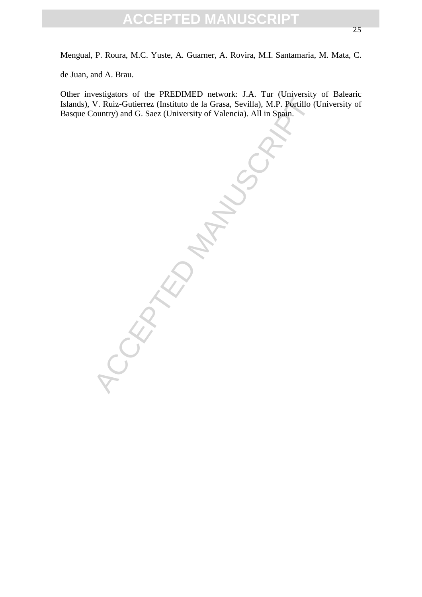Mengual, P. Roura, M.C. Yuste, A. Guarner, A. Rovira, M.I. Santamaria, M. Mata, C.

de Juan, and A. Brau.

Other investigators of the PREDIMED network: J.A. Tur (University of Balearic Islands), V. Ruiz-Gutierrez (Instituto de la Grasa, Sevilla), M.P. Portillo (University of Basque Country) and G. Saez (University of Valencia). All in Spain.

SCRAND.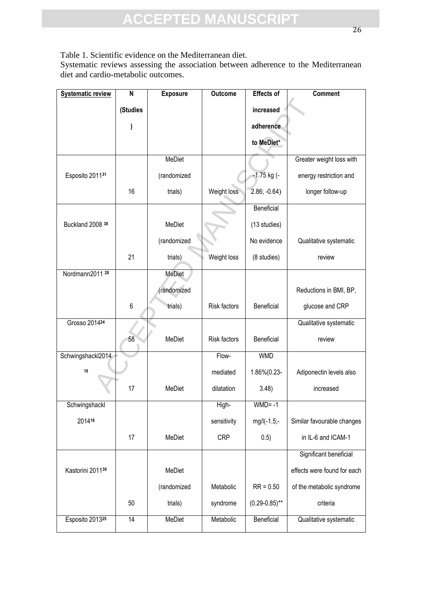Table 1. Scientific evidence on the Mediterranean diet.

Systematic reviews assessing the association between adherence to the Mediterranean diet and cardio-metabolic outcomes.

| <b>Systematic review</b>   | $\mathsf{N}$ | <b>Exposure</b> | <b>Outcome</b> | <b>Effects of</b>  | <b>Comment</b>              |
|----------------------------|--------------|-----------------|----------------|--------------------|-----------------------------|
|                            | (Studies     |                 |                | increased          |                             |
|                            |              |                 |                | adherence          |                             |
|                            |              |                 |                | to MeDiet*         |                             |
|                            |              | MeDiet          |                |                    | Greater weight loss with    |
|                            |              |                 |                |                    |                             |
| Esposito 201131            |              | (randomized     |                | -1.75 kg (-        | energy restriction and      |
|                            | 16           | trials)         | Weight loss    | $2.86; -0.64$ )    | longer follow-up            |
|                            |              |                 |                | Beneficial         |                             |
| Buckland 2008 38           |              | MeDiet          |                | (13 studies)       |                             |
|                            |              | (randomized     |                | No evidence        | Qualitative systematic      |
|                            | 21           | trials)         | Weight loss    | (8 studies)        | review                      |
| Nordmann2011 <sup>28</sup> |              | <b>MeDiet</b>   |                |                    |                             |
|                            |              | (randomized     |                |                    | Reductions in BMI, BP,      |
|                            | 6            | trials)         | Risk factors   | Beneficial         | glucose and CRP             |
| Grosso 201424              |              |                 |                |                    | Qualitative systematic      |
|                            | 58           | MeDiet          | Risk factors   | Beneficial         | review                      |
| Schwingshackl2014          |              |                 | Flow-          | <b>WMD</b>         |                             |
| 18                         |              |                 | mediated       | 1.86%(0.23-        | Adiponectin levels also     |
|                            | 17           | MeDiet          | dilatation     | 3.48)              | increased                   |
| Schwingshackl              |              |                 | High-          | $WMD = -1$         |                             |
| 201418                     |              |                 | sensitivity    | mg/l(-1.5;-        | Similar favourable changes  |
|                            | 17           | MeDiet          | <b>CRP</b>     | 0.5)               | in IL-6 and ICAM-1          |
|                            |              |                 |                |                    | Significant beneficial      |
| Kastorini 201130           |              | MeDiet          |                |                    | effects were found for each |
|                            |              | (randomized     | Metabolic      | $RR = 0.50$        | of the metabolic syndrome   |
|                            | 50           | trials)         | syndrome       | $(0.29 - 0.85)$ ** | criteria                    |
| Esposito 201325            | 14           | MeDiet          | Metabolic      | Beneficial         | Qualitative systematic      |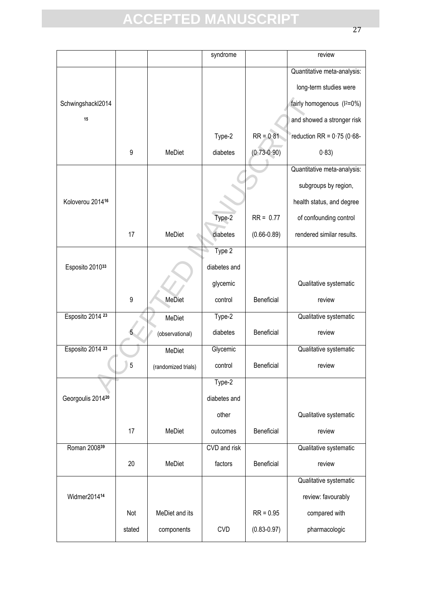|                   |        |                     | syndrome     |                 | review                                |
|-------------------|--------|---------------------|--------------|-----------------|---------------------------------------|
|                   |        |                     |              |                 | Quantitative meta-analysis:           |
|                   |        |                     |              |                 | long-term studies were                |
| Schwingshackl2014 |        |                     |              |                 | fairly homogenous (I <sup>2=0%)</sup> |
| 15                |        |                     |              |                 | and showed a stronger risk            |
|                   |        |                     | Type-2       | $RR = 0.81$     | reduction RR = $0.75$ (0.68-          |
|                   | 9      | MeDiet              | diabetes     | $(0.73 - 0.90)$ | 0.83)                                 |
|                   |        |                     |              |                 | Quantitative meta-analysis:           |
|                   |        |                     |              |                 | subgroups by region,                  |
| Koloverou 201416  |        |                     |              |                 | health status, and degree             |
|                   |        |                     | Type-2       | $RR = 0.77$     | of confounding control                |
|                   | 17     | MeDiet              | diabetes     | $(0.66 - 0.89)$ | rendered similar results.             |
|                   |        |                     | Type 2       |                 |                                       |
| Esposito 201033   |        |                     | diabetes and |                 |                                       |
|                   |        |                     | glycemic     |                 | Qualitative systematic                |
|                   | 9      | <b>MeDiet</b>       | control      | Beneficial      | review                                |
| Esposito 2014 23  |        | MeDiet              | Type-2       |                 | Qualitative systematic                |
|                   |        | (observational)     | diabetes     | Beneficial      | review                                |
| Esposito 2014 23  |        | MeDiet              | Glycemic     |                 | Qualitative systematic                |
|                   | г<br>ບ | (randomized trials) | control      | Beneficial      | review                                |
|                   |        |                     | $Type-2$     |                 |                                       |
| Georgoulis 201420 |        |                     | diabetes and |                 |                                       |
|                   |        |                     | other        |                 | Qualitative systematic                |
|                   | 17     | MeDiet              | outcomes     | Beneficial      | review                                |
| Roman 200839      |        |                     | CVD and risk |                 | Qualitative systematic                |
|                   | 20     | MeDiet              | factors      | Beneficial      | review                                |
|                   |        |                     |              |                 | Qualitative systematic                |
| Widmer201414      |        |                     |              |                 | review: favourably                    |
|                   | Not    | MeDiet and its      |              | $RR = 0.95$     | compared with                         |
|                   | stated | components          | <b>CVD</b>   | $(0.83 - 0.97)$ | pharmacologic                         |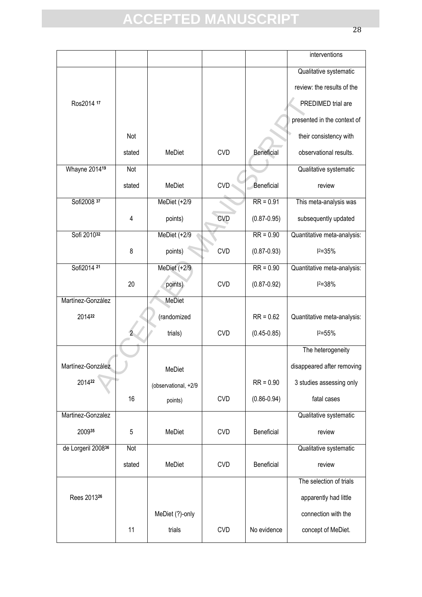|                         |        |                      |            |                 | interventions               |
|-------------------------|--------|----------------------|------------|-----------------|-----------------------------|
|                         |        |                      |            |                 | Qualitative systematic      |
|                         |        |                      |            |                 | review: the results of the  |
| Ros2014 17              |        |                      |            |                 | PREDIMED trial are          |
|                         |        |                      |            |                 | presented in the context of |
|                         | Not    |                      |            |                 | their consistency with      |
|                         | stated | MeDiet               | <b>CVD</b> | Beneficial      | observational results.      |
| Whayne 201419           | Not    |                      |            |                 | Qualitative systematic      |
|                         | stated | MeDiet               | <b>CVD</b> | Beneficial      | review                      |
| Sofi2008 37             |        | MeDiet (+2/9         |            | $RR = 0.91$     | This meta-analysis was      |
|                         | 4      | points)              | <b>CVD</b> | $(0.87 - 0.95)$ | subsequently updated        |
| Sofi 201032             |        | MeDiet $(+2/9)$      |            | $RR = 0.90$     | Quantitative meta-analysis: |
|                         | 8      | points)              | <b>CVD</b> | $(0.87 - 0.93)$ | $12 = 35%$                  |
| Sofi2014 21             |        | MeDiet (+2/9         |            | $RR = 0.90$     | Quantitative meta-analysis: |
|                         | 20     | points)              | <b>CVD</b> | $(0.87 - 0.92)$ | $12 = 38%$                  |
| Martínez-González       |        | MeDiet               |            |                 |                             |
| 201422                  |        | (randomized          |            | $RR = 0.62$     | Quantitative meta-analysis: |
|                         |        | trials)              | <b>CVD</b> | $(0.45 - 0.85)$ | $12 = 55%$                  |
|                         |        |                      |            |                 | The heterogeneity           |
| Martínez-González       |        | MeDiet               |            |                 | disappeared after removing  |
| 201422                  |        | (observational, +2/9 |            | $RR = 0.90$     | 3 studies assessing only    |
|                         | 16     | points)              | <b>CVD</b> | $(0.86 - 0.94)$ | fatal cases                 |
| Martinez-Gonzalez       |        |                      |            |                 | Qualitative systematic      |
| 200935                  | 5      | MeDiet               | <b>CVD</b> | Beneficial      | review                      |
| de Lorgeril 200836      | Not    |                      |            |                 | Qualitative systematic      |
|                         | stated | MeDiet               | <b>CVD</b> | Beneficial      | review                      |
|                         |        |                      |            |                 | The selection of trials     |
| Rees 2013 <sup>26</sup> |        |                      |            |                 | apparently had little       |
|                         |        | MeDiet (?)-only      |            |                 | connection with the         |
|                         | 11     | trials               | <b>CVD</b> | No evidence     | concept of MeDiet.          |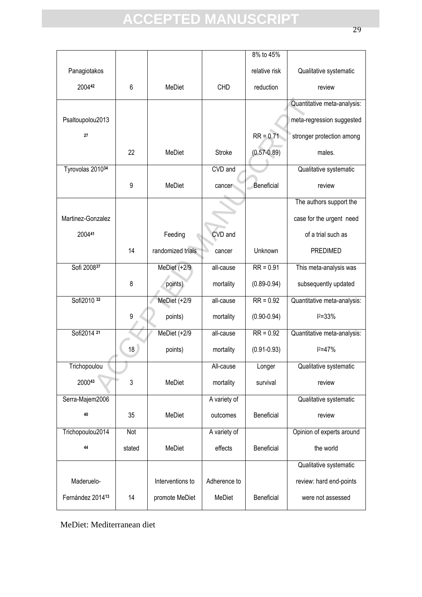|                   |                 |                   |               | 8% to 45%       |                             |
|-------------------|-----------------|-------------------|---------------|-----------------|-----------------------------|
| Panagiotakos      |                 |                   |               | relative risk   | Qualitative systematic      |
| 200442            | $6\phantom{1}6$ | <b>MeDiet</b>     | <b>CHD</b>    | reduction       | review                      |
|                   |                 |                   |               |                 | Quantitative meta-analysis: |
| Psaltoupolou2013  |                 |                   |               |                 | meta-regression suggested   |
| 27                |                 |                   |               | $RR = 0.71$     | stronger protection among   |
|                   | 22              | MeDiet            | <b>Stroke</b> | $(0.57 - 0.89)$ | males.                      |
| Tyrovolas 201034  |                 |                   | CVD and       |                 | Qualitative systematic      |
|                   | 9               | MeDiet            | cancer        | Beneficial      | review                      |
|                   |                 |                   |               |                 | The authors support the     |
| Martinez-Gonzalez |                 |                   |               |                 | case for the urgent need    |
| 200441            |                 | Feeding           | CVD and       |                 | of a trial such as          |
|                   | 14              | randomized trials | cancer        | Unknown         | <b>PREDIMED</b>             |
| Sofi 200837       |                 | MeDiet (+2/9      | all-cause     | $RR = 0.91$     | This meta-analysis was      |
|                   | 8               | points)           | mortality     | $(0.89 - 0.94)$ | subsequently updated        |
| Sofi2010 32       |                 | MeDiet (+2/9      | all-cause     | $RR = 0.92$     | Quantitative meta-analysis: |
|                   | 9               | points)           | mortality     | $(0.90 - 0.94)$ | $12 = 33%$                  |
| Sofi2014 21       |                 | MeDiet (+2/9      | all-cause     | $RR = 0.92$     | Quantitative meta-analysis: |
|                   | 18              | points)           | mortality     | $(0.91 - 0.93)$ | $12 = 47%$                  |
| Trichopoulou      |                 |                   | All-cause     | Longer          | Qualitative systematic      |
| 200043            | 3               | MeDiet            | mortality     | survival        | review                      |
| Serra-Majem2006   |                 |                   | A variety of  |                 | Qualitative systematic      |
| 40                | 35              | <b>MeDiet</b>     | outcomes      | Beneficial      | review                      |
| Trichopoulou2014  | Not             |                   | A variety of  |                 | Opinion of experts around   |
| 44                | stated          | MeDiet            | effects       | Beneficial      | the world                   |
|                   |                 |                   |               |                 | Qualitative systematic      |
| Maderuelo-        |                 | Interventions to  | Adherence to  |                 | review: hard end-points     |
| Fernández 201413  | 14              | promote MeDiet    | MeDiet        | Beneficial      | were not assessed           |

MeDiet: Mediterranean diet

29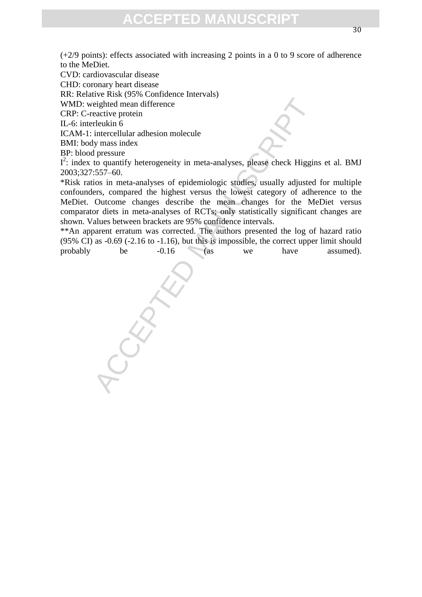(+2/9 points): effects associated with increasing 2 points in a 0 to 9 score of adherence to the MeDiet.

CVD: cardiovascular disease

CHD: coronary heart disease

RR: Relative Risk (95% Confidence Intervals)

WMD: weighted mean difference

CRP: C-reactive protein

IL-6: interleukin 6

ICAM-1: intercellular adhesion molecule

BMI: body mass index

BP: blood pressure

 $I^2$ : index to quantify heterogeneity in meta-analyses, please check Higgins et al. BMJ 2003;327:557–60.

eighted mean difference<br>eactive protein<br>telukin 6<br>intercellular adhesion molecule<br>intercellular adhesion molecule<br>ly mass index<br>pressure intera-analyses of epidemiologic studies, usually adjusted<br>ers, compared the highest \*Risk ratios in meta-analyses of epidemiologic studies, usually adjusted for multiple confounders, compared the highest versus the lowest category of adherence to the MeDiet. Outcome changes describe the mean changes for the MeDiet versus comparator diets in meta-analyses of RCTs; only statistically significant changes are shown. Values between brackets are 95% confidence intervals.

\*\*An apparent erratum was corrected. The authors presented the log of hazard ratio (95% CI) as -0.69 (-2.16 to -1.16), but this is impossible, the correct upper limit should probably be -0.16 (as we have assumed).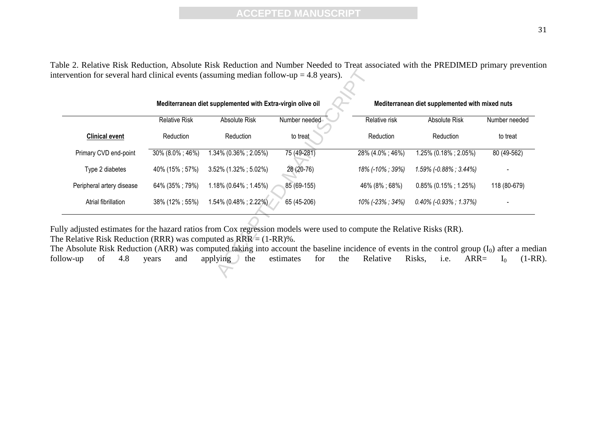Table 2. Relative Risk Reduction, Absolute Risk Reduction and Number Needed to Treat associated with the PREDIMED primary prevention intervention for several hard clinical events (assuming median follow-up  $= 4.8$  years).

|                                                                                                                                                                                                                    | Mediterranean diet supplemented with Extra-virgin olive oil |                         |                  |                  | Mediterranean diet supplemented with mixed nuts                                                                                                                                  |                          |  |
|--------------------------------------------------------------------------------------------------------------------------------------------------------------------------------------------------------------------|-------------------------------------------------------------|-------------------------|------------------|------------------|----------------------------------------------------------------------------------------------------------------------------------------------------------------------------------|--------------------------|--|
|                                                                                                                                                                                                                    | <b>Relative Risk</b>                                        | Absolute Risk           | Number needed    | Relative risk    | Absolute Risk                                                                                                                                                                    | Number needed            |  |
| <b>Clinical event</b>                                                                                                                                                                                              | Reduction                                                   | Reduction               | to treat         | Reduction        | Reduction                                                                                                                                                                        | to treat                 |  |
| Primary CVD end-point                                                                                                                                                                                              | 30% (8.0%; 46%)                                             | 1.34% (0.36%; 2.05%)    | 75 (49-281)      | 28% (4.0%; 46%)  | 1.25% (0.18%; 2.05%)                                                                                                                                                             | 80 (49-562)              |  |
| Type 2 diabetes                                                                                                                                                                                                    | 40% (15%; 57%)                                              | $3.52\%$ (1.32%; 5.02%) | 28 (20-76)       | 18% (-10% ; 39%) | $1.59\%$ (-0.88%; 3.44%)                                                                                                                                                         |                          |  |
| Peripheral artery disease                                                                                                                                                                                          | 64% (35%; 79%)                                              | $1.18\%$ (0.64%; 1.45%) | 85 (69-155)      | 46% (8%; 68%)    | $0.85\%$ (0.15%; 1.25%)                                                                                                                                                          | 118 (80-679)             |  |
| Atrial fibrillation                                                                                                                                                                                                | 38% (12%; 55%)                                              | $1.54\%$ (0.48%; 2.22%) | 65 (45-206)      | 10% (-23% ; 34%) | $0.40\%$ (-0.93%; 1.37%)                                                                                                                                                         |                          |  |
| Ily adjusted estimates for the hazard ratios from Cox regression models were used to compute the Relative Risks (RR).<br>e Relative Risk Reduction (RRR) was computed as $RRR = (1-RR)\%$ .<br>4.8<br>of<br>low-up | and<br>years                                                | applying<br>the         | estimates<br>for | Relative<br>the  | e Absolute Risk Reduction (ARR) was computed taking into account the baseline incidence of events in the control group (I <sub>0</sub> ) after a med<br>Risks,<br>$ARR=$<br>i.e. | $(1-F$<br>1 <sub>0</sub> |  |

The Absolute Risk Reduction (ARR) was computed taking into account the baseline incidence of events in the control group ( $I_0$ ) after a median follow-up of 4.8 years and applying the estimates for the Relative Risks, i.e follow-up of 4.8 years and applying the estimates for the Relative Risks, i.e.  $ARR = I_0$  (1-RR).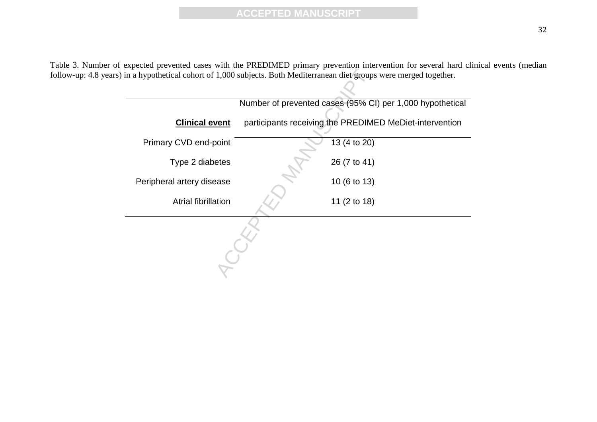Table 3. Number of expected prevented cases with the PREDIMED primary prevention intervention for several hard clinical events (median follow-up: 4.8 years) in a hypothetical cohort of 1,000 subjects. Both Mediterranean diet groups were merged together.

|                           | Number of prevented cases (95% CI) per 1,000 hypothetical |
|---------------------------|-----------------------------------------------------------|
| <b>Clinical event</b>     | participants receiving the PREDIMED MeDiet-intervention   |
| Primary CVD end-point     | 13 (4 to 20)                                              |
| Type 2 diabetes           | 26 (7 to 41)                                              |
| Peripheral artery disease | 10 (6 to 13)                                              |
| Atrial fibrillation       | 11 (2 to 18)                                              |
|                           |                                                           |